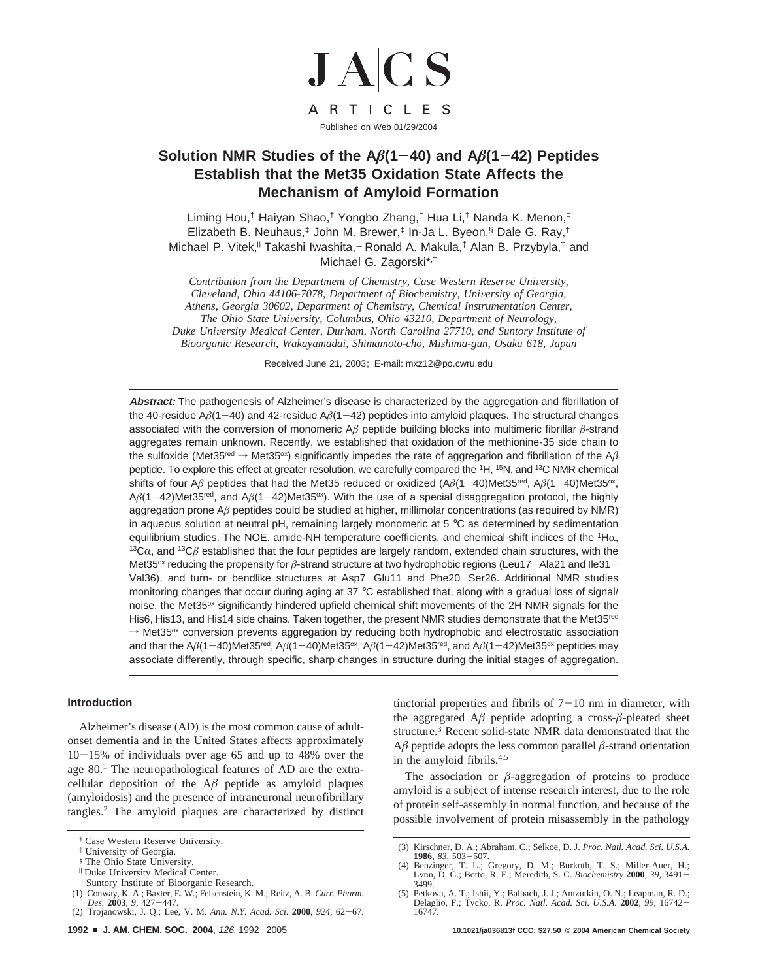

# **Solution NMR Studies of the A***â***(1**-**40) and A***â***(1**-**42) Peptides Establish that the Met35 Oxidation State Affects the Mechanism of Amyloid Formation**

Liming Hou,† Haiyan Shao,† Yongbo Zhang,† Hua Li,† Nanda K. Menon,‡ Elizabeth B. Neuhaus,‡ John M. Brewer,‡ In-Ja L. Byeon,§ Dale G. Ray,† Michael P. Vitek,<sup>||</sup> Takashi Iwashita,<sup>⊥</sup> Ronald A. Makula,<sup>‡</sup> Alan B. Przybyla,<sup>‡</sup> and Michael G. Zagorski\*,†

*Contribution from the Department of Chemistry, Case Western Reserve University, Cle*V*eland, Ohio 44106-7078, Department of Biochemistry, Uni*V*ersity of Georgia, Athens, Georgia 30602, Department of Chemistry, Chemical Instrumentation Center, The Ohio State University, Columbus, Ohio 43210, Department of Neurology, Duke University Medical Center, Durham, North Carolina 27710, and Suntory Institute of Bioorganic Research, Wakayamadai, Shimamoto-cho, Mishima-gun, Osaka 618, Japan*

Received June 21, 2003; E-mail: mxz12@po.cwru.edu

**Abstract:** The pathogenesis of Alzheimer's disease is characterized by the aggregation and fibrillation of the 40-residue A*â*(1-40) and 42-residue A*â*(1-42) peptides into amyloid plaques. The structural changes associated with the conversion of monomeric A*â* peptide building blocks into multimeric fibrillar *â*-strand aggregates remain unknown. Recently, we established that oxidation of the methionine-35 side chain to the sulfoxide (Met35<sup>red</sup>  $\rightarrow$  Met35<sup>ox</sup>) significantly impedes the rate of aggregation and fibrillation of the A $\beta$ peptide. To explore this effect at greater resolution, we carefully compared the <sup>1</sup>H, <sup>15</sup>N, and <sup>13</sup>C NMR chemical shifts of four A<sub> $\beta$  peptides that had the Met35 reduced or oxidized  $(A\beta(1-40)$ Met35<sup>red</sup>, A $\beta(1-40)$ Met35<sup>ox</sup>,</sub>  $A\beta$ (1-42)Met35<sup>red</sup>, and  $A\beta$ (1-42)Met35<sup>ox</sup>). With the use of a special disaggregation protocol, the highly aggregation prone A*â* peptides could be studied at higher, millimolar concentrations (as required by NMR) in aqueous solution at neutral pH, remaining largely monomeric at 5 °C as determined by sedimentation equilibrium studies. The NOE, amide-NH temperature coefficients, and chemical shift indices of the <sup>1</sup>H $\alpha$ , 13C $\alpha$ , and <sup>13</sup>C $\beta$  established that the four peptides are largely random, extended chain structures, with th Met35<sup>ox</sup> reducing the propensity for *β*-strand structure at two hydrophobic regions (Leu17-Ala21 and Ile31-Val36), and turn- or bendlike structures at Asp7-Glu11 and Phe20-Ser26. Additional NMR studies monitoring changes that occur during aging at 37 °C established that, along with a gradual loss of signal/ noise, the Met35<sup>ox</sup> significantly hindered upfield chemical shift movements of the 2H NMR signals for the His6, His13, and His14 side chains. Taken together, the present NMR studies demonstrate that the Met35<sup>red</sup>  $\rightarrow$  Met35<sup>ox</sup> conversion prevents aggregation by reducing both hydrophobic and electrostatic association and that the A*â*(1-40)Met35red, A*â*(1-40)Met35ox, A*â*(1-42)Met35red, and A*â*(1-42)Met35ox peptides may associate differently, through specific, sharp changes in structure during the initial stages of aggregation.

## **Introduction**

Alzheimer's disease (AD) is the most common cause of adultonset dementia and in the United States affects approximately <sup>10</sup>-15% of individuals over age 65 and up to 48% over the age 80.<sup>1</sup> The neuropathological features of AD are the extracellular deposition of the  $A\beta$  peptide as amyloid plaques (amyloidosis) and the presence of intraneuronal neurofibrillary tangles.2 The amyloid plaques are characterized by distinct

- <sup>|</sup> Duke University Medical Center.
- <sup>⊥</sup> Suntory Institute of Bioorganic Research.
- (1) Conway, K. A.; Baxter, E. W.; Felsenstein, K. M.; Reitz, A. B. *Curr. Pharm.*

tinctorial properties and fibrils of  $7-10$  nm in diameter, with the aggregated  $A\beta$  peptide adopting a cross- $\beta$ -pleated sheet structure.3 Recent solid-state NMR data demonstrated that the  $A\beta$  peptide adopts the less common parallel  $\beta$ -strand orientation in the amyloid fibrils.4,5

The association or  $\beta$ -aggregation of proteins to produce amyloid is a subject of intense research interest, due to the role of protein self-assembly in normal function, and because of the possible involvement of protein misassembly in the pathology

<sup>†</sup> Case Western Reserve University.

<sup>‡</sup> University of Georgia.

<sup>§</sup> The Ohio State University.

*Des.* **<sup>2003</sup>**, *<sup>9</sup>*, 427-447. (2) Trojanowski, J. Q.; Lee, V. M. *Ann. N.Y. Acad. Sci.* **<sup>2000</sup>**, *<sup>924</sup>*, 62-67.

<sup>(3)</sup> Kirschner, D. A.; Abraham, C.; Selkoe, D. J. *Proc. Natl. Acad. Sci. U.S.A.* **<sup>1986</sup>**, *<sup>83</sup>*, 503-507. (4) Benzinger, T. L.; Gregory, D. M.; Burkoth, T. S.; Miller-Auer, H.;

Lynn, D. G.; Botto, R. E.; Meredith, S. C. *Biochemistry* **<sup>2000</sup>**, *<sup>39</sup>*, 3491- 3499.

<sup>(5)</sup> Petkova, A. T.; Ishii, Y.; Balbach, J. J.; Antzutkin, O. N.; Leapman, R. D.; Delaglio, F.; Tycko, R. *Proc. Natl. Acad. Sci. U.S.A.* **<sup>2002</sup>**, *<sup>99</sup>*, 16742- 16747.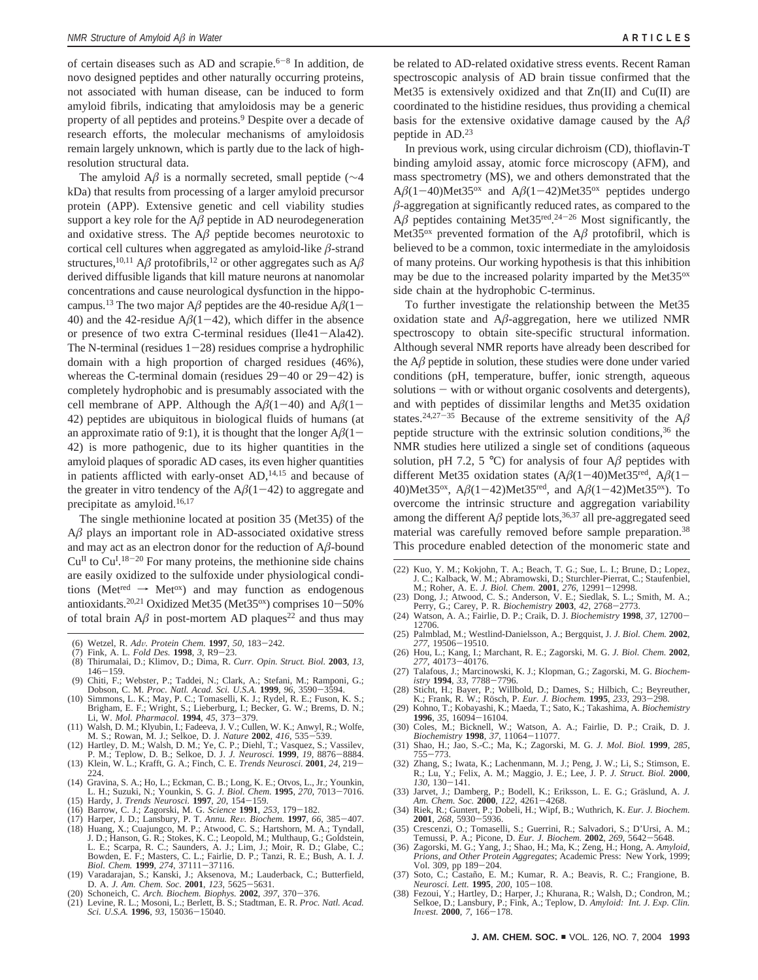of certain diseases such as AD and scrapie. $6-8$  In addition, de novo designed peptides and other naturally occurring proteins, not associated with human disease, can be induced to form amyloid fibrils, indicating that amyloidosis may be a generic property of all peptides and proteins.9 Despite over a decade of research efforts, the molecular mechanisms of amyloidosis remain largely unknown, which is partly due to the lack of highresolution structural data.

The amyloid A*â* is a normally secreted, small peptide (∼4 kDa) that results from processing of a larger amyloid precursor protein (APP). Extensive genetic and cell viability studies support a key role for the  $A\beta$  peptide in AD neurodegeneration and oxidative stress. The  $A\beta$  peptide becomes neurotoxic to cortical cell cultures when aggregated as amyloid-like *â*-strand structures,<sup>10,11</sup> A $\beta$  protofibrils,<sup>12</sup> or other aggregates such as A $\beta$ derived diffusible ligands that kill mature neurons at nanomolar concentrations and cause neurological dysfunction in the hippocampus.<sup>13</sup> The two major A $\beta$  peptides are the 40-residue A $\beta$ (1-40) and the 42-residue  $A\beta(1-42)$ , which differ in the absence or presence of two extra C-terminal residues (Ile41-Ala42). The N-terminal (residues  $1-28$ ) residues comprise a hydrophilic domain with a high proportion of charged residues (46%), whereas the C-terminal domain (residues  $29-40$  or  $29-42$ ) is completely hydrophobic and is presumably associated with the cell membrane of APP. Although the  $A\beta(1-40)$  and  $A\beta(1-$ 42) peptides are ubiquitous in biological fluids of humans (at an approximate ratio of 9:1), it is thought that the longer  $A\beta(1-\alpha)$ 42) is more pathogenic, due to its higher quantities in the amyloid plaques of sporadic AD cases, its even higher quantities in patients afflicted with early-onset AD,<sup>14,15</sup> and because of the greater in vitro tendency of the  $A\beta(1-42)$  to aggregate and precipitate as amyloid.<sup>16,17</sup>

The single methionine located at position 35 (Met35) of the A*â* plays an important role in AD-associated oxidative stress and may act as an electron donor for the reduction of A*â*-bound  $Cu<sup>H</sup>$  to  $Cu<sup>I</sup>$ .<sup>18-20</sup> For many proteins, the methionine side chains are easily oxidized to the sulfoxide under physiological conditions (Met<sup>red</sup>  $\rightarrow$  Met<sup>ox</sup>) and may function as endogenous antioxidants.<sup>20,21</sup> Oxidized Met35 (Met35 $\alpha$ ) comprises 10-50% of total brain  $A\beta$  in post-mortem AD plaques<sup>22</sup> and thus may

- (6) Wetzel, R. *Ad*V*. Protein Chem.* **<sup>1997</sup>**, *<sup>50</sup>*, 183-242.
- (7) Fink, A. L. *Fold Des.* **<sup>1998</sup>**, *<sup>3</sup>*, R9-23.
- (8) Thirumalai, D.; Klimov, D.; Dima, R. *Curr. Opin. Struct. Biol.* **2003**, *13*, <sup>146</sup>-159. (9) Chiti, F.; Webster, P.; Taddei, N.; Clark, A.; Stefani, M.; Ramponi, G.;
- 
- Dobson, C. M. *Proc. Natl. Acad. Sci. U.S.A.* **1999**, 96, 3590–3594.<br>(10) Simmons, L. K.; May, P. C.; Tomaselli, K. J.; Rydel, R. E.; Fuson, K. S.;<br>Brigham, E. F.; Wright, S.; Lieberburg, I.; Becker, G. W.; Brems, D. N.;<br>L
- M. S.; Rowan, M. J.; Selkoe, D. J. *Nature* **<sup>2002</sup>**, *<sup>416</sup>*, 535-539. (12) Hartley, D. M.; Walsh, D. M.; Ye, C. P.; Diehl, T.; Vasquez, S.; Vassilev,
- 
- P. M.; Teplow, D. B.; Selkoe, D. J. *J. Neurosci.* **<sup>1999</sup>**, *<sup>19</sup>*, 8876-8884. (13) Klein, W. L.; Krafft, G. A.; Finch, C. E. *Trends Neurosci.* **<sup>2001</sup>**, *<sup>24</sup>*, 219- 224.
- (14) Gravina, S. A.; Ho, L.; Eckman, C. B.; Long, K. E.; Otvos, L., Jr.; Younkin, L. H.; Suzuki, N.; Younkin, S. G. *J. Biol. Chem.* **<sup>1995</sup>**, *<sup>270</sup>*, 7013-7016. (15) Hardy, J. *Trends Neurosci.* **<sup>1997</sup>**, *<sup>20</sup>*, 154-159.
- 
- (16) Barrow, C. J.; Zagorski, M. G. *Science* **<sup>1991</sup>**, *<sup>253</sup>*, 179-182.
- (17) Harper, J. D.; Lansbury, P. T. Annu. Rev. Biochem. 1997, 66, 385-407.<br>
(18) Huang, X.; Cuajungco, M. P.; Atwood, C. S.; Hartshorn, M. A.; Tyndall, J. D.; Hanson, G. R.; Stokes, K. C.; Leopold, M.; Multhaup, G.; Golds
- (19) Varadarajan, S.; Kanski, J.; Aksenova, M.; Lauderback, C.; Butterfield, D. A. J. Am. Chem. Soc. 2001, 123, 5625-5631.
- D. A. *J. Am. Chem. Soc.* **<sup>2001</sup>**, *<sup>123</sup>*, 5625-5631. (20) Schoneich, C. *Arch. Biochem. Biophys.* **<sup>2002</sup>**, *<sup>397</sup>*, 370-376.
- (21) Levine, R. L.; Mosoni, L.; Berlett, B. S.; Stadtman, E. R. *Proc. Natl. Acad. Sci. U.S.A.* **<sup>1996</sup>**, *<sup>93</sup>*, 15036-15040.

be related to AD-related oxidative stress events. Recent Raman spectroscopic analysis of AD brain tissue confirmed that the Met35 is extensively oxidized and that  $Zn(II)$  and  $Cu(II)$  are coordinated to the histidine residues, thus providing a chemical basis for the extensive oxidative damage caused by the A*â* peptide in AD.23

In previous work, using circular dichroism (CD), thioflavin-T binding amyloid assay, atomic force microscopy (AFM), and mass spectrometry (MS), we and others demonstrated that the  $A\beta(1-40)$ Met35<sup>ox</sup> and  $A\beta(1-42)$ Met35<sup>ox</sup> peptides undergo  $\beta$ -aggregation at significantly reduced rates, as compared to the  $A\beta$  peptides containing Met35<sup>red</sup>.<sup>24-26</sup> Most significantly, the Met35<sup>ox</sup> prevented formation of the  $A\beta$  protofibril, which is believed to be a common, toxic intermediate in the amyloidosis of many proteins. Our working hypothesis is that this inhibition may be due to the increased polarity imparted by the Met35ox side chain at the hydrophobic C-terminus.

To further investigate the relationship between the Met35 oxidation state and A*â*-aggregation, here we utilized NMR spectroscopy to obtain site-specific structural information. Although several NMR reports have already been described for the  $A\beta$  peptide in solution, these studies were done under varied conditions (pH, temperature, buffer, ionic strength, aqueous  $solutions - with or without organic cosolvents and detergents),$ and with peptides of dissimilar lengths and Met35 oxidation states.<sup>24,27-35</sup> Because of the extreme sensitivity of the  $A\beta$ peptide structure with the extrinsic solution conditions,36 the NMR studies here utilized a single set of conditions (aqueous solution, pH 7.2, 5 °C) for analysis of four  $A\beta$  peptides with different Met35 oxidation states (A*â*(1-40)Met35red, A*â*(1- 40)Met35ox, A*â*(1-42)Met35red, and A*â*(1-42)Met35ox). To overcome the intrinsic structure and aggregation variability among the different  $A\beta$  peptide lots,<sup>36,37</sup> all pre-aggregated seed material was carefully removed before sample preparation.38 This procedure enabled detection of the monomeric state and

- (22) Kuo, Y. M.; Kokjohn, T. A.; Beach, T. G.; Sue, L. I.; Brune, D.; Lopez, J. C.; Kalback, W. M.; Abramowski, D.; Sturchler-Pierrat, C.; Staufenbiel, M.; Roher, A. E. *J. Biol. Chem.* **<sup>2001</sup>**, *<sup>276</sup>*, 12991-12998. (23) Dong, J.; Atwood, C. S.; Anderson, V. E.; Siedlak, S. L.; Smith, M. A.;
- Perry, G.; Carey, P. R. *Biochemistry* **<sup>2003</sup>**, *<sup>42</sup>*, 2768-2773.
- (24) Watson, A. A.; Fairlie, D. P.; Craik, D. J. *Biochemistry* **<sup>1998</sup>**, *<sup>37</sup>*, 12700- 12706.
- (25) Palmblad, M.; Westlind-Danielsson, A.; Bergquist, J. *J. Biol. Chem.* **<sup>2002</sup>**, *<sup>277</sup>*, 19506-19510.
- (26) Hou, L.; Kang, I.; Marchant, R. E.; Zagorski, M. G. *J. Biol. Chem.* **<sup>2002</sup>**, *<sup>277</sup>*, 40173-40176.
- (27) Talafous, J.; Marcinowski, K. J.; Klopman, G.; Zagorski, M. G. *Biochem-*
- *istry* **1994**, *33*, 7788–7796.<br>
(28) Sticht, H.; Bayer, P.; Willbold, D.; Dames, S.; Hilbich, C.; Beyreuther, K., Rrank, R. W.; Rosch, P. *Eur. J. Biochem.* **1995**, *233*, 293–298.<br>
(29) Kohno. T.: Kobavashi. K.: Maeda.
- (29) Kohno, T.; Kobayashi, K.; Maeda, T.; Sato, K.; Takashima, A. *Biochemistry* **<sup>1996</sup>**, *<sup>35</sup>*, 16094-16104. (30) Coles, M.; Bicknell, W.; Watson, A. A.; Fairlie, D. P.; Craik, D. J.
- *Biochemistry* **<sup>1998</sup>**, *<sup>37</sup>*, 11064-11077. (31) Shao, H.; Jao, S.-C.; Ma, K.; Zagorski, M. G. *J. Mol. Biol.* **1999**, *285*,
- <sup>755</sup>-773. (32) Zhang, S.; Iwata, K.; Lachenmann, M. J.; Peng, J. W.; Li, S.; Stimson, E. R.; Lu, Y.; Felix, A. M.; Maggio, J. E.; Lee, J. P. *J. Struct. Biol.* **2000**, *130*, 130–141.<br>(33) Jarvet, J.; Damberg, P.; Bodell, K.; Eriksson, L. E. G.; Gräslund, A. *J.*
- *Am. Chem. Soc.* **<sup>2000</sup>**, *<sup>122</sup>*, 4261-4268. (34) Riek, R.; Guntert, P.; Dobeli, H.; Wipf, B.; Wuthrich, K. *Eur. J. Biochem.*
- **<sup>2001</sup>**, *<sup>268</sup>*, 5930-5936. (35) Crescenzi, O.; Tomaselli, S.; Guerrini, R.; Salvadori, S.; D'Ursi, A. M.;
- Temussi, P. A.; Picone, D. *Eur. J. Biochem.* **<sup>2002</sup>**, *<sup>269</sup>*, 5642-5648. (36) Zagorski, M. G.; Yang, J.; Shao, H.; Ma, K.; Zeng, H.; Hong, A. *Amyloid,*
- *Prions, and Other Protein Aggregates*; Academic Press: New York, 1999; Vol. 309, pp 189-204.
- (37) Soto, C.; Castaño, E. M.; Kumar, R. A.; Beavis, R. C.; Frangione, B. Neurosci. Lett. 1995, 200, 105-108. *Neurosci. Lett.* **<sup>1995</sup>**, *<sup>200</sup>*, 105-108. (38) Fezoui, Y.; Hartley, D.; Harper, J.; Khurana, R.; Walsh, D.; Condron, M.;
- Selkoe, D.; Lansbury, P.; Fink, A.; Teplow, D. *Amyloid: Int. J. Exp. Clin. In*V*est.* **<sup>2000</sup>**, *<sup>7</sup>*, 166-178.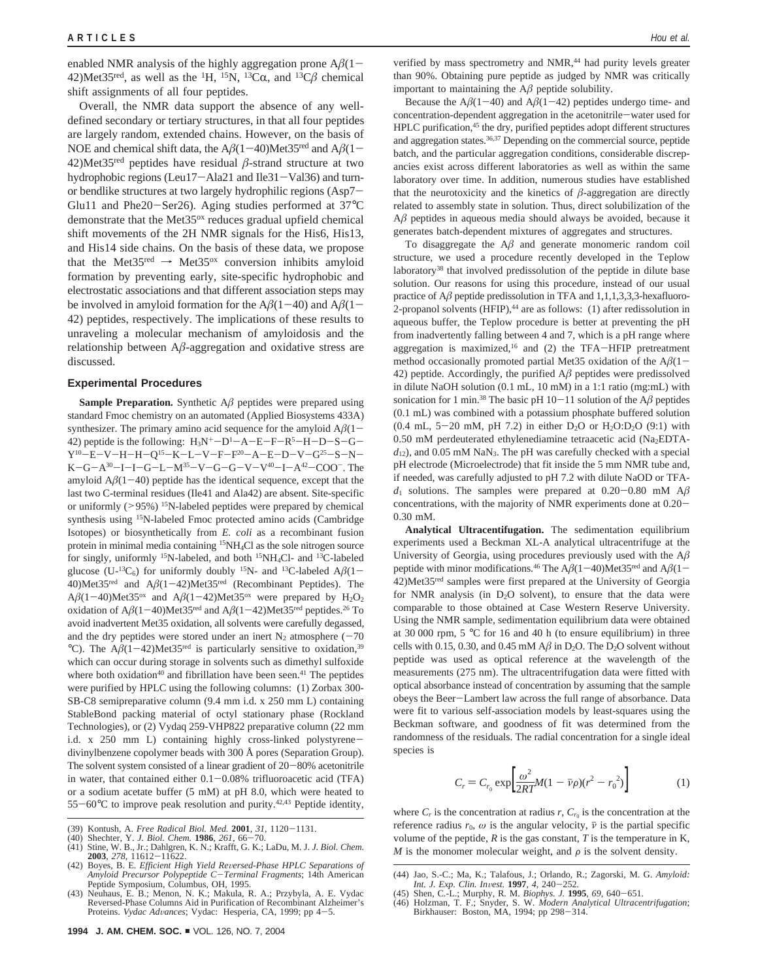enabled NMR analysis of the highly aggregation prone  $A\beta(1-\alpha)$ 42)Met35<sup>red</sup>, as well as the <sup>1</sup>H, <sup>15</sup>N, <sup>13</sup>C $\alpha$ , and <sup>13</sup>C $\beta$  chemical shift assignments of all four peptides.

Overall, the NMR data support the absence of any welldefined secondary or tertiary structures, in that all four peptides are largely random, extended chains. However, on the basis of NOE and chemical shift data, the  $A\beta(1-40)$ Met35<sup>red</sup> and  $A\beta(1-$ 42)Met35<sup>red</sup> peptides have residual  $\beta$ -strand structure at two hydrophobic regions (Leu17-Ala21 and Ile31-Val36) and turnor bendlike structures at two largely hydrophilic regions (Asp7- Glu11 and Phe20-Ser26). Aging studies performed at 37°<sup>C</sup> demonstrate that the Met35<sup>ox</sup> reduces gradual upfield chemical shift movements of the 2H NMR signals for the His6, His13, and His14 side chains. On the basis of these data, we propose that the Met35<sup>red</sup>  $\rightarrow$  Met35<sup>ox</sup> conversion inhibits amyloid formation by preventing early, site-specific hydrophobic and electrostatic associations and that different association steps may be involved in amyloid formation for the  $A\beta(1-40)$  and  $A\beta(1-$ 42) peptides, respectively. The implications of these results to unraveling a molecular mechanism of amyloidosis and the relationship between A*â*-aggregation and oxidative stress are discussed.

## **Experimental Procedures**

**Sample Preparation.** Synthetic A*â* peptides were prepared using standard Fmoc chemistry on an automated (Applied Biosystems 433A) synthesizer. The primary amino acid sequence for the amyloid  $A\beta(1-\alpha)$ 42) peptide is the following: H3N+-D1 -A-E-F-R5 -H-D-S-G-Y<sup>10</sup>-E-V-H-H-Q<sup>15</sup>-K-L-V-F-F<sup>20</sup>-A-E-D-V-G<sup>25</sup>-S-N- $K-G-A^{30}-I-I-G-L-M^{35}-V-G-G-V-V^{40}-I-A^{42}-COO^{-}$ . The amyloid  $A\beta(1-40)$  peptide has the identical sequence, except that the last two C-terminal residues (Ile41 and Ala42) are absent. Site-specific or uniformly (>95%) <sup>15</sup>N-labeled peptides were prepared by chemical synthesis using <sup>15</sup>N-labeled Fmoc protected amino acids (Cambridge Isotopes) or biosynthetically from *E. coli* as a recombinant fusion protein in minimal media containing <sup>15</sup>NH<sub>4</sub>Cl as the sole nitrogen source for singly, uniformly <sup>15</sup>N-labeled, and both <sup>15</sup>NH<sub>4</sub>Cl- and <sup>13</sup>C-labeled glucose (U-<sup>13</sup>C<sub>6</sub>) for uniformly doubly <sup>15</sup>N- and <sup>13</sup>C-labeled A $\beta$ (1– 40)Met35<sup>red</sup> and  $A\beta(1-42)$ Met35<sup>red</sup> (Recombinant Peptides). The  $A\beta(1-40)$ Met35<sup>ox</sup> and  $A\beta(1-42)$ Met35<sup>ox</sup> were prepared by H<sub>2</sub>O<sub>2</sub> oxidation of  $A\beta(1-40)$ Met35<sup>red</sup> and  $A\beta(1-42)$ Met35<sup>red</sup> peptides.<sup>26</sup> To avoid inadvertent Met35 oxidation, all solvents were carefully degassed, and the dry peptides were stored under an inert  $N_2$  atmosphere (-70) °C). The  $A\beta(1-42)$ Met35<sup>red</sup> is particularly sensitive to oxidation,<sup>39</sup> which can occur during storage in solvents such as dimethyl sulfoxide where both oxidation<sup>40</sup> and fibrillation have been seen.<sup>41</sup> The peptides were purified by HPLC using the following columns: (1) Zorbax 300- SB-C8 semipreparative column (9.4 mm i.d. x 250 mm L) containing StableBond packing material of octyl stationary phase (Rockland Technologies), or (2) Vydaq 259-VHP822 preparative column (22 mm i.d. x 250 mm L) containing highly cross-linked polystyrenedivinylbenzene copolymer beads with 300 Å pores (Separation Group). The solvent system consisted of a linear gradient of  $20-80%$  acetonitrile in water, that contained either  $0.1 - 0.08\%$  trifluoroacetic acid (TFA) or a sodium acetate buffer (5 mM) at pH 8.0, which were heated to  $55-60^{\circ}$ C to improve peak resolution and purity.<sup>42,43</sup> Peptide identity,

- (39) Kontush, A. *Free Radical Biol. Med.* **2001**, 31, 1120–1131.<br>(40) Shechter, Y. J. *Biol. Chem.* **1986**, 261, 66–70.<br>(41) Stine, W. B., Jr.; Dahlgren, K. N.; Krafft, G. K.; LaDu, M. J. J. Biol. Chem. **2003**, *278*, 11612-11622.<br> **2003**, *278*, 11612-11622.<br> **2003**, *278*, 11612-11622.
- (42) Boyes, B. E. *Efficient High Yield Re*V*ersed-Phase HPLC Separations of Amyloid Precursor Polypeptide C*-*Terminal Fragments*; 14th American Peptide Symposium, Columbus, OH, 1995.
- (43) Neuhaus, E. B.; Menon, N. K.; Makula, R. A.; Przybyla, A. E. Vydac Reversed-Phase Columns Aid in Purification of Recombinant Alzheimer's Proteins. *Vydac Advances*; Vydac: Hesperia, CA, 1999; pp 4-5.

verified by mass spectrometry and NMR,<sup>44</sup> had purity levels greater than 90%. Obtaining pure peptide as judged by NMR was critically important to maintaining the A*â* peptide solubility.

Because the  $A\beta(1-40)$  and  $A\beta(1-42)$  peptides undergo time- and concentration-dependent aggregation in the acetonitrile-water used for HPLC purification,<sup>45</sup> the dry, purified peptides adopt different structures and aggregation states.36,37 Depending on the commercial source, peptide batch, and the particular aggregation conditions, considerable discrepancies exist across different laboratories as well as within the same laboratory over time. In addition, numerous studies have established that the neurotoxicity and the kinetics of  $\beta$ -aggregation are directly related to assembly state in solution. Thus, direct solubilization of the A*â* peptides in aqueous media should always be avoided, because it generates batch-dependent mixtures of aggregates and structures.

To disaggregate the A*â* and generate monomeric random coil structure, we used a procedure recently developed in the Teplow laboratory38 that involved predissolution of the peptide in dilute base solution. Our reasons for using this procedure, instead of our usual practice of  $A\beta$  peptide predissolution in TFA and 1,1,1,3,3,3-hexafluoro-2-propanol solvents  $(HFIP)$ ,<sup>44</sup> are as follows: (1) after redissolution in aqueous buffer, the Teplow procedure is better at preventing the pH from inadvertently falling between 4 and 7, which is a pH range where aggregation is maximized,<sup>16</sup> and (2) the TFA-HFIP pretreatment method occasionally promoted partial Met35 oxidation of the  $A\beta(1-\alpha)$ 42) peptide. Accordingly, the purified  $A\beta$  peptides were predissolved in dilute NaOH solution (0.1 mL, 10 mM) in a 1:1 ratio (mg:mL) with sonication for 1 min.<sup>38</sup> The basic pH 10-11 solution of the  $A\beta$  peptides (0.1 mL) was combined with a potassium phosphate buffered solution (0.4 mL, 5-20 mM, pH 7.2) in either  $D_2O$  or  $H_2O:D_2O$  (9:1) with  $0.50$  mM perdeuterated ethylenediamine tetraacetic acid (Na<sub>2</sub>EDTA $d_{12}$ ), and 0.05 mM NaN<sub>3</sub>. The pH was carefully checked with a special pH electrode (Microelectrode) that fit inside the 5 mm NMR tube and, if needed, was carefully adjusted to pH 7.2 with dilute NaOD or TFA*<sup>d</sup>*<sup>1</sup> solutions. The samples were prepared at 0.20-0.80 mM A*<sup>â</sup>* concentrations, with the majority of NMR experiments done at 0.20- 0.30 mM.

**Analytical Ultracentifugation.** The sedimentation equilibrium experiments used a Beckman XL-A analytical ultracentrifuge at the University of Georgia, using procedures previously used with the A*â* peptide with minor modifications.<sup>46</sup> The  $A\beta(1-40)$ Met35<sup>red</sup> and  $A\beta(1-$ 42)Met35red samples were first prepared at the University of Georgia for NMR analysis (in  $D_2O$  solvent), to ensure that the data were comparable to those obtained at Case Western Reserve University. Using the NMR sample, sedimentation equilibrium data were obtained at 30 000 rpm, 5 °C for 16 and 40 h (to ensure equilibrium) in three cells with 0.15, 0.30, and 0.45 mM  $A\beta$  in D<sub>2</sub>O. The D<sub>2</sub>O solvent without peptide was used as optical reference at the wavelength of the measurements (275 nm). The ultracentrifugation data were fitted with optical absorbance instead of concentration by assuming that the sample obeys the Beer-Lambert law across the full range of absorbance. Data were fit to various self-association models by least-squares using the Beckman software, and goodness of fit was determined from the randomness of the residuals. The radial concentration for a single ideal species is

$$
C_r = C_{r_0} \exp\left[\frac{\omega^2}{2RT}M(1 - \bar{\nu}\rho)(r^2 - r_0^2)\right]
$$
 (1)

where  $C_r$  is the concentration at radius  $r$ ,  $C_{r0}$  is the concentration at the reference radius  $r_0$ ,  $\omega$  is the angular velocity,  $\overline{\nu}$  is the partial specific volume of the peptide,  $R$  is the gas constant,  $T$  is the temperature in  $K$ , *M* is the monomer molecular weight, and  $\rho$  is the solvent density.

<sup>(44)</sup> Jao, S.-C.; Ma, K.; Talafous, J.; Orlando, R.; Zagorski, M. G. *Amyloid:*

*Int. J. Exp. Clin. Invest.* **1997**, 4, 240–252.<br>(45) Shen, C.-L.; Murphy, R. M. *Biophys. J.* **1995**, 69, 640–651.<br>(46) Holzman, T. F.; Snyder, S. W. *Modern Analytical Ultracentrifugation*; Birkhauser: Boston, MA, 1994;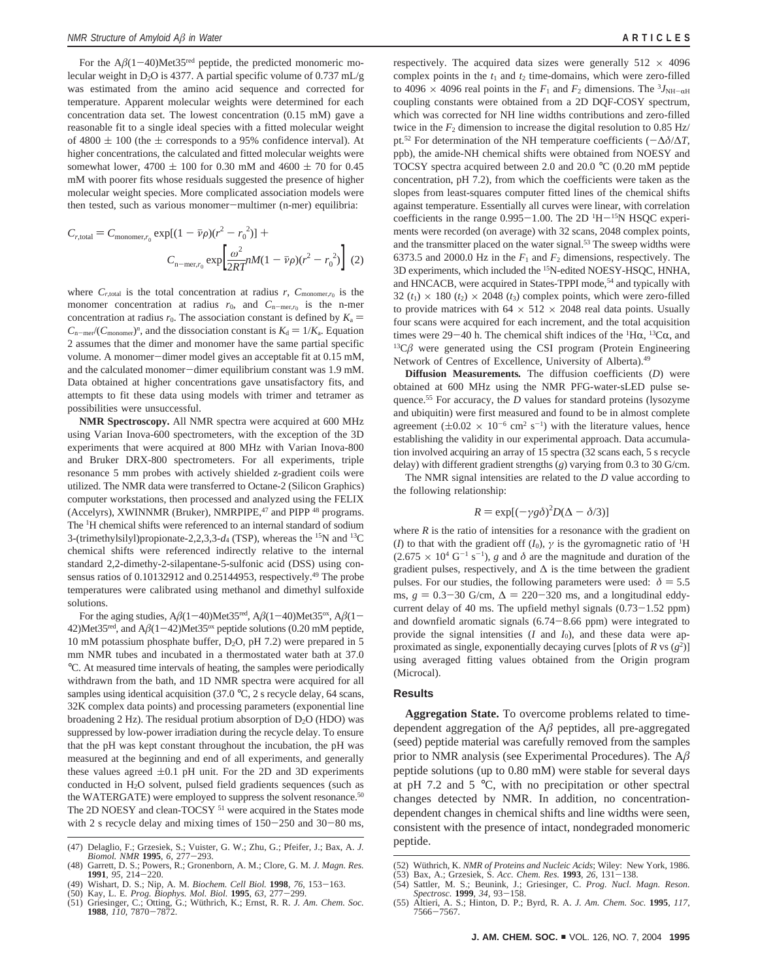For the  $A\beta(1-40)$ Met35<sup>red</sup> peptide, the predicted monomeric molecular weight in D<sub>2</sub>O is 4377. A partial specific volume of 0.737 mL/g was estimated from the amino acid sequence and corrected for temperature. Apparent molecular weights were determined for each concentration data set. The lowest concentration (0.15 mM) gave a reasonable fit to a single ideal species with a fitted molecular weight of 4800  $\pm$  100 (the  $\pm$  corresponds to a 95% confidence interval). At higher concentrations, the calculated and fitted molecular weights were somewhat lower,  $4700 \pm 100$  for 0.30 mM and  $4600 \pm 70$  for 0.45 mM with poorer fits whose residuals suggested the presence of higher molecular weight species. More complicated association models were then tested, such as various monomer-multimer (n-mer) equilibria:

$$
C_{r,\text{total}} = C_{\text{monomer},r_0} \exp[(1 - \bar{\nu}\rho)(r^2 - r_0^2)] +
$$

$$
C_{\text{n-mer},r_0} \exp\left[\frac{\omega^2}{2RT}nM(1 - \bar{\nu}\rho)(r^2 - r_0^2)\right] (2)
$$

where  $C_{r,\text{total}}$  is the total concentration at radius  $r$ ,  $C_{\text{monomer},r_0}$  is the monomer concentration at radius  $r_0$ , and  $C_{n-\text{mer},r_0}$  is the n-mer concentration at radius  $r_0$ . The association constant is defined by  $K_a$  =  $C_{\text{n-mer}}/(C_{\text{monomer}})^n$ , and the dissociation constant is  $K_d = 1/K_a$ . Equation 2 assumes that the dimer and monomer have the same partial specific volume. A monomer-dimer model gives an acceptable fit at 0.15 mM, and the calculated monomer-dimer equilibrium constant was 1.9 mM. Data obtained at higher concentrations gave unsatisfactory fits, and attempts to fit these data using models with trimer and tetramer as possibilities were unsuccessful.

**NMR Spectroscopy.** All NMR spectra were acquired at 600 MHz using Varian Inova-600 spectrometers, with the exception of the 3D experiments that were acquired at 800 MHz with Varian Inova-800 and Bruker DRX-800 spectrometers. For all experiments, triple resonance 5 mm probes with actively shielded z-gradient coils were utilized. The NMR data were transferred to Octane-2 (Silicon Graphics) computer workstations, then processed and analyzed using the FELIX (Accelyrs), XWINNMR (Bruker), NMRPIPE,<sup>47</sup> and PIPP<sup>48</sup> programs. The <sup>1</sup> H chemical shifts were referenced to an internal standard of sodium 3-(trimethylsilyl)propionate-2,2,3,3-*d*<sup>4</sup> (TSP), whereas the 15N and 13C chemical shifts were referenced indirectly relative to the internal standard 2,2-dimethy-2-silapentane-5-sulfonic acid (DSS) using consensus ratios of 0.10132912 and 0.25144953, respectively.<sup>49</sup> The probe temperatures were calibrated using methanol and dimethyl sulfoxide solutions.

For the aging studies,  $A\beta(1-40)$ Met35<sup>red</sup>,  $A\beta(1-40)$ Met35<sup>ox</sup>,  $A\beta(1-$ 42)Met35<sup>red</sup>, and  $A\beta(1-42)$ Met35<sup>ox</sup> peptide solutions (0.20 mM peptide, 10 mM potassium phosphate buffer,  $D_2O$ , pH 7.2) were prepared in 5 mm NMR tubes and incubated in a thermostated water bath at 37.0 °C. At measured time intervals of heating, the samples were periodically withdrawn from the bath, and 1D NMR spectra were acquired for all samples using identical acquisition (37.0 °C, 2 s recycle delay, 64 scans, 32K complex data points) and processing parameters (exponential line broadening  $2$  Hz). The residual protium absorption of  $D_2O$  (HDO) was suppressed by low-power irradiation during the recycle delay. To ensure that the pH was kept constant throughout the incubation, the pH was measured at the beginning and end of all experiments, and generally these values agreed  $\pm 0.1$  pH unit. For the 2D and 3D experiments conducted in H2O solvent, pulsed field gradients sequences (such as the WATERGATE) were employed to suppress the solvent resonance.<sup>50</sup> The 2D NOESY and clean-TOCSY <sup>51</sup> were acquired in the States mode with 2 s recycle delay and mixing times of  $150-250$  and  $30-80$  ms, respectively. The acquired data sizes were generally  $512 \times 4096$ complex points in the  $t_1$  and  $t_2$  time-domains, which were zero-filled to 4096  $\times$  4096 real points in the  $F_1$  and  $F_2$  dimensions. The <sup>3</sup>*J*<sub>NH- $\alpha$ H</sub> coupling constants were obtained from a 2D DQF-COSY spectrum, which was corrected for NH line widths contributions and zero-filled twice in the  $F_2$  dimension to increase the digital resolution to 0.85 Hz/ pt.52 For determination of the NH temperature coefficients (-∆*δ*/∆*T*, ppb), the amide-NH chemical shifts were obtained from NOESY and TOCSY spectra acquired between 2.0 and 20.0 °C (0.20 mM peptide concentration, pH 7.2), from which the coefficients were taken as the slopes from least-squares computer fitted lines of the chemical shifts against temperature. Essentially all curves were linear, with correlation coefficients in the range  $0.995-1.00$ . The 2D  $\rm{^{1}H}^{-15}N$  HSQC experi-<br>ments were recorded (on average) with 32 scans, 2048 complex points ments were recorded (on average) with 32 scans, 2048 complex points, and the transmitter placed on the water signal.<sup>53</sup> The sweep widths were 6373.5 and 2000.0 Hz in the  $F_1$  and  $F_2$  dimensions, respectively. The 3D experiments, which included the 15N-edited NOESY-HSQC, HNHA, and HNCACB, were acquired in States-TPPI mode,<sup>54</sup> and typically with 32  $(t_1) \times 180$   $(t_2) \times 2048$   $(t_3)$  complex points, which were zero-filled to provide matrices with  $64 \times 512 \times 2048$  real data points. Usually four scans were acquired for each increment, and the total acquisition times were 29–40 h. The chemical shift indices of the  ${}^{1}H\alpha$ ,  ${}^{13}C\alpha$ , and  ${}^{13}C\beta$  were generated using the CSI program (Protein Engineering Network of Centres of Excellence, University of Alberta).49

**Diffusion Measurements***.* The diffusion coefficients (*D*) were obtained at 600 MHz using the NMR PFG-water-sLED pulse sequence.<sup>55</sup> For accuracy, the *D* values for standard proteins (lysozyme and ubiquitin) were first measured and found to be in almost complete agreement  $(\pm 0.02 \times 10^{-6} \text{ cm}^2 \text{ s}^{-1})$  with the literature values, hence<br>establishing the validity in our experimental approach. Data accumulaestablishing the validity in our experimental approach. Data accumulation involved acquiring an array of 15 spectra (32 scans each, 5 s recycle delay) with different gradient strengths (*g*) varying from 0.3 to 30 G/cm.

The NMR signal intensities are related to the *D* value according to the following relationship:

$$
R = \exp[(-\gamma g \delta)^2 D(\Delta - \delta/3)]
$$

where *R* is the ratio of intensities for a resonance with the gradient on where *R* is the ratio of intensities for a resonance with the gradient on (*I*) to that with the gradient off  $(I_0)$ ,  $\gamma$  is the gyromagnetic ratio of <sup>1</sup>H  $(2.675 \times 10^4 \text{ G}^{-1} \text{ s}^{-1})$ , *g* and *δ* are the magnitude and duration of the gradient pulses, respectively, and  $\Delta$  is the time between the gradient pulses. For our studies, the following parameters were used:  $\delta = 5.5$ ms,  $g = 0.3 - 30$  G/cm,  $\Delta = 220 - 320$  ms, and a longitudinal eddycurrent delay of 40 ms. The upfield methyl signals  $(0.73-1.52$  ppm) and downfield aromatic signals  $(6.74 - 8.66$  ppm) were integrated to provide the signal intensities (*I* and *I*0), and these data were approximated as single, exponentially decaying curves [plots of *R* vs (*g*<sup>2</sup> )] using averaged fitting values obtained from the Origin program (Microcal).

# **Results**

**Aggregation State.** To overcome problems related to timedependent aggregation of the A*â* peptides, all pre-aggregated (seed) peptide material was carefully removed from the samples prior to NMR analysis (see Experimental Procedures). The A*â* peptide solutions (up to 0.80 mM) were stable for several days at pH 7.2 and 5 °C, with no precipitation or other spectral changes detected by NMR. In addition, no concentrationdependent changes in chemical shifts and line widths were seen, consistent with the presence of intact, nondegraded monomeric

peptide. (47) Delaglio, F.; Grzesiek, S.; Vuister, G. W.; Zhu, G.; Pfeifer, J.; Bax, A. *J. Biomol. NMR* **<sup>1995</sup>**, *<sup>6</sup>*, 277-293. (48) Garrett, D. S.; Powers, R.; Gronenborn, A. M.; Clore, G. M. *J. Magn. Res.*

**<sup>1991</sup>**, *<sup>95</sup>*, 214-220. (49) Wishart, D. S.; Nip, A. M. *Biochem. Cell Biol.* **<sup>1998</sup>**, *<sup>76</sup>*, 153-163.

<sup>(50)</sup> Kay, L. E. *Prog. Biophys. Mol. Biol.* **1995**, 63, 277–299.<br>(51) Griesinger, C.; Otting, G.; Wüthrich, K.; Ernst, R. R. *J. Am. Chem. Soc.*<br>**1988**, *110*, 7870–7872.

<sup>(52)</sup> Wüthrich, K. *NMR of Proteins and Nucleic Acids*; Wiley: New York, 1986.<br>(53) Bax, A.; Grzesiek, S. Acc. Chem. Res. **1993**, 26, 131–138.

<sup>(53)</sup> Bax, A.; Grzesiek, S. *Acc. Chem. Res.* **<sup>1993</sup>**, *<sup>26</sup>*, 131-138. (54) Sattler, M. S.; Beunink, J.; Griesinger, C. *Prog. Nucl. Magn. Reson.*

*Spectrosc.* **<sup>1999</sup>**, *<sup>34</sup>*, 93-158. (55) Altieri, A. S.; Hinton, D. P.; Byrd, R. A. *J. Am. Chem. Soc.* **1995**, *117*, <sup>7566</sup>-7567.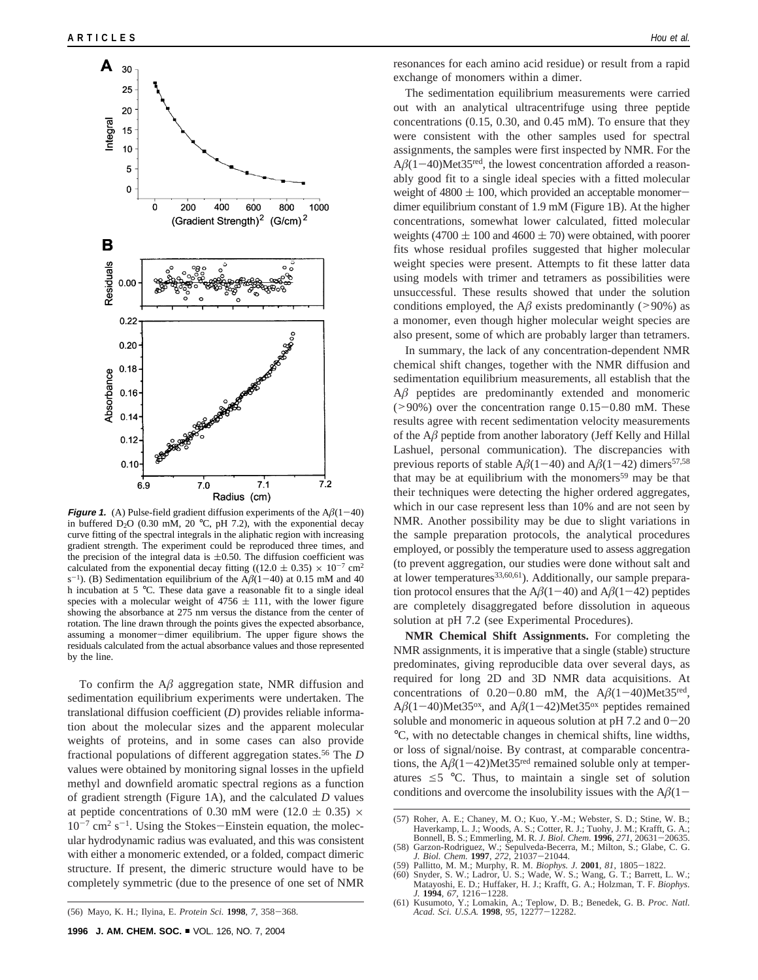

**Figure 1.** (A) Pulse-field gradient diffusion experiments of the  $A\beta(1-40)$  in buffered D<sub>2</sub>O (0.30 mM, 20 °C, pH 7.2), with the exponential decay curve fitting of the spectral integrals in the aliphatic region with increasing gradient strength. The experiment could be reproduced three times, and the precision of the integral data is  $\pm 0.50$ . The diffusion coefficient was calculated from the exponential decay fitting ((12.0  $\pm$  0.35)  $\times$  10<sup>-7</sup> cm<sup>2</sup> s<sup>-1</sup>). (B) Sedimentation equilibrium of the  $A\beta(1-40)$  at 0.15 mM and 40 h incubation at 5 °C. These data gave a reasonable fit to a single ideal species with a molecular weight of  $4756 \pm 111$ , with the lower figure showing the absorbance at 275 nm versus the distance from the center of rotation. The line drawn through the points gives the expected absorbance, assuming a monomer-dimer equilibrium. The upper figure shows the residuals calculated from the actual absorbance values and those represented by the line.

To confirm the  $A\beta$  aggregation state, NMR diffusion and sedimentation equilibrium experiments were undertaken. The translational diffusion coefficient (*D*) provides reliable information about the molecular sizes and the apparent molecular weights of proteins, and in some cases can also provide fractional populations of different aggregation states.56 The *D* values were obtained by monitoring signal losses in the upfield methyl and downfield aromatic spectral regions as a function of gradient strength (Figure 1A), and the calculated *D* values at peptide concentrations of 0.30 mM were (12.0  $\pm$  0.35)  $\times$  $10^{-7}$  cm<sup>2</sup> s<sup>-1</sup>. Using the Stokes-Einstein equation, the molecular hydrodynamic radius was evaluated, and this was consistent with either a monomeric extended, or a folded, compact dimeric structure. If present, the dimeric structure would have to be completely symmetric (due to the presence of one set of NMR resonances for each amino acid residue) or result from a rapid exchange of monomers within a dimer.

The sedimentation equilibrium measurements were carried out with an analytical ultracentrifuge using three peptide concentrations (0.15, 0.30, and 0.45 mM). To ensure that they were consistent with the other samples used for spectral assignments, the samples were first inspected by NMR. For the  $A\beta(1-40)$ Met35<sup>red</sup>, the lowest concentration afforded a reasonably good fit to a single ideal species with a fitted molecular weight of  $4800 \pm 100$ , which provided an acceptable monomerdimer equilibrium constant of 1.9 mM (Figure 1B). At the higher concentrations, somewhat lower calculated, fitted molecular weights (4700  $\pm$  100 and 4600  $\pm$  70) were obtained, with poorer fits whose residual profiles suggested that higher molecular weight species were present. Attempts to fit these latter data using models with trimer and tetramers as possibilities were unsuccessful. These results showed that under the solution conditions employed, the  $A\beta$  exists predominantly (>90%) as a monomer, even though higher molecular weight species are also present, some of which are probably larger than tetramers.

In summary, the lack of any concentration-dependent NMR chemical shift changes, together with the NMR diffusion and sedimentation equilibrium measurements, all establish that the A*â* peptides are predominantly extended and monomeric  $(>90\%)$  over the concentration range  $0.15-0.80$  mM. These results agree with recent sedimentation velocity measurements of the A*â* peptide from another laboratory (Jeff Kelly and Hillal Lashuel, personal communication). The discrepancies with previous reports of stable  $A\beta(1-40)$  and  $A\beta(1-42)$  dimers<sup>57,58</sup> that may be at equilibrium with the monomers<sup>59</sup> may be that their techniques were detecting the higher ordered aggregates, which in our case represent less than 10% and are not seen by NMR. Another possibility may be due to slight variations in the sample preparation protocols, the analytical procedures employed, or possibly the temperature used to assess aggregation (to prevent aggregation, our studies were done without salt and at lower temperatures $33,60,61$ ). Additionally, our sample preparation protocol ensures that the  $A\beta(1-40)$  and  $A\beta(1-42)$  peptides are completely disaggregated before dissolution in aqueous solution at pH 7.2 (see Experimental Procedures).

**NMR Chemical Shift Assignments.** For completing the NMR assignments, it is imperative that a single (stable) structure predominates, giving reproducible data over several days, as required for long 2D and 3D NMR data acquisitions. At concentrations of  $0.20-0.80$  mM, the  $A\beta(1-40)$ Met35<sup>red</sup>, A $\beta$ (1-40)Met35<sup>ox</sup>, and A $\beta$ (1-42)Met35<sup>ox</sup> peptides remained soluble and monomeric in aqueous solution at  $pH$  7.2 and  $0-20$ °C, with no detectable changes in chemical shifts, line widths, or loss of signal/noise. By contrast, at comparable concentrations, the  $A\beta(1-42)$ Met35<sup>red</sup> remained soluble only at temperatures  $\leq$  5 °C. Thus, to maintain a single set of solution conditions and overcome the insolubility issues with the  $A\beta(1-\alpha)$ 

- 
- Snyder, S. W.; Ladror, U. S.; Wade, W. S.; Wang, G. T.; Barrett, L. W.; Matayoshi, E. D.; Huffaker, H. J.; Krafft, G. A.; Holzman, T. F. *Biophys.*

<sup>(57)</sup> Roher, A. E.; Chaney, M. O.; Kuo, Y.-M.; Webster, S. D.; Stine, W. B.; Haverkamp, L. J.; Woods, A. S.; Cotter, R. J.; Tuohy, J. M.; Krafft, G. A.; Bonnell, B. S.; Emmerling, M. R. *J. Biol. Chem.* **<sup>1996</sup>**, *<sup>271</sup>*, 20631-20635.

<sup>(58)</sup> Garzon-Rodriguez, W.; Sepulveda-Becerra, M.; Milton, S.; Glabe, C. G. *J. Biol. Chem.* **<sup>1997</sup>**, *<sup>272</sup>*, 21037-21044. (59) Pallitto, M. M.; Murphy, R. M. *Biophys. J.* **<sup>2001</sup>**, *<sup>81</sup>*, 1805-1822.

*J.* **<sup>1994</sup>**, *<sup>67</sup>*, 1216-1228. (61) Kusumoto, Y.; Lomakin, A.; Teplow, D. B.; Benedek, G. B. *Proc. Natl. Acad. Sci. U.S.A.* **<sup>1998</sup>**, *<sup>95</sup>*, 12277-12282.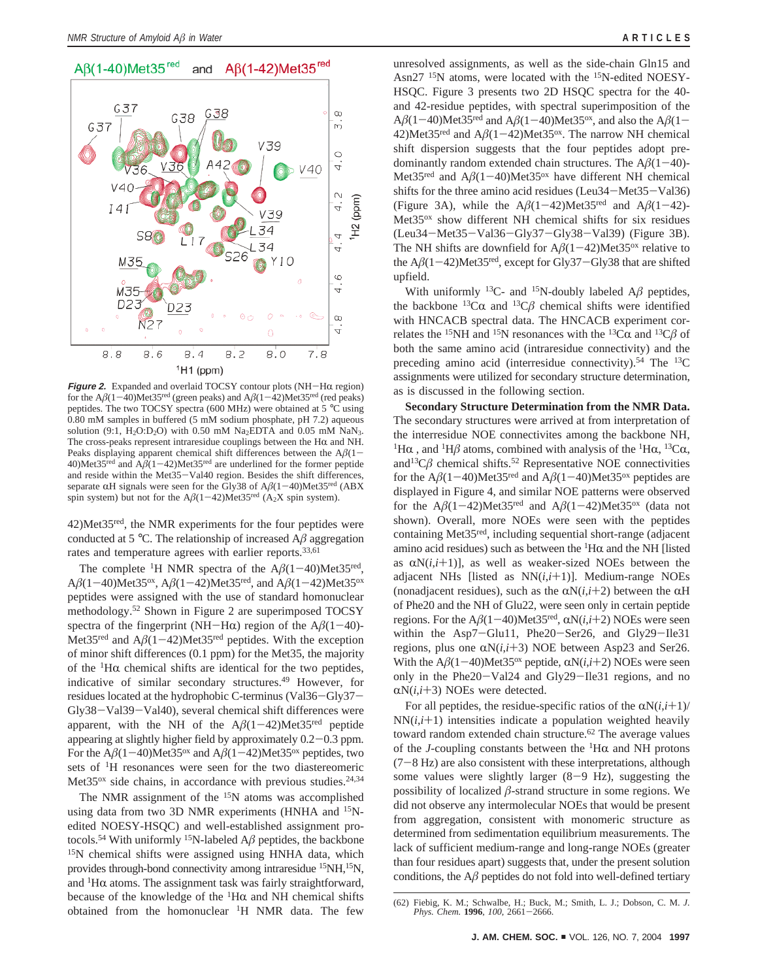

**Figure 2.** Expanded and overlaid TOCSY contour plots (NH-HR region) for the  $A\beta(1-40)$ Met35<sup>red</sup> (green peaks) and  $A\beta(1-42)$ Met35<sup>red</sup> (red peaks) peptides. The two TOCSY spectra (600 MHz) were obtained at 5 °C using 0.80 mM samples in buffered (5 mM sodium phosphate, pH 7.2) aqueous solution (9:1, H<sub>2</sub>O:D<sub>2</sub>O) with 0.50 mM Na<sub>2</sub>EDTA and 0.05 mM NaN<sub>3</sub>. The cross-peaks represent intraresidue couplings between the H $\alpha$  and NH. Peaks displaying apparent chemical shift differences between the  $A\beta(1-40)$ Met35<sup>red</sup> and  $A\beta(1-42)$ Met35<sup>red</sup> are underlined for the former peptide 40)Met35<sup>red</sup> and  $A\beta(1-42)$ Met35<sup>red</sup> are underlined for the former peptide<br>and reside within the Met35–Val40 region. Besides the shift differences and reside within the Met35-Val40 region. Besides the shift differences, separate  $\alpha$ H signals were seen for the Gly38 of A $\beta$ ( $-40$ )Met35<sup>red</sup> (ABX separate  $\alpha$ H signals were seen for the Gly38 of  $A\beta(1-40)$ Met35<sup>red</sup> (ABX spin system) but not for the  $A\beta(1-42)$ Met35<sup>red</sup> (A<sub>2</sub>X spin system).

42)Met35red, the NMR experiments for the four peptides were conducted at 5  $\degree$ C. The relationship of increased A $\beta$  aggregation rates and temperature agrees with earlier reports.<sup>33,61</sup>

The complete <sup>1</sup>H NMR spectra of the  $A\beta(1-40)$ Met35<sup>red</sup>, A $\beta$ (1-40)Met35<sup>ox</sup>, A $\beta$ (1-42)Met35<sup>red</sup>, and A $\beta$ (1-42)Met35<sup>ox</sup> peptides were assigned with the use of standard homonuclear methodology.52 Shown in Figure 2 are superimposed TOCSY spectra of the fingerprint (NH-H $\alpha$ ) region of the A $\beta$ (1-40)-Met35<sup>red</sup> and  $A\beta(1-42)$ Met35<sup>red</sup> peptides. With the exception of minor shift differences (0.1 ppm) for the Met35, the majority of the  ${}^{1}$ H $\alpha$  chemical shifts are identical for the two peptides, indicative of similar secondary structures.<sup>49</sup> However, for residues located at the hydrophobic C-terminus (Val36-Gly37- Gly38-Val39-Val40), several chemical shift differences were apparent, with the NH of the  $A\beta(1-42)$ Met35<sup>red</sup> peptide appearing at slightly higher field by approximately 0.2-0.3 ppm. For the  $A\beta(1-40)$ Met35<sup>ox</sup> and  $A\beta(1-42)$ Met35<sup>ox</sup> peptides, two sets of 1H resonances were seen for the two diastereomeric Met35<sup>ox</sup> side chains, in accordance with previous studies.<sup>24,34</sup>

The NMR assignment of the <sup>15</sup>N atoms was accomplished using data from two 3D NMR experiments (HNHA and <sup>15</sup>Nedited NOESY-HSQC) and well-established assignment protocols.<sup>54</sup> With uniformly <sup>15</sup>N-labeled  $A\beta$  peptides, the backbone 15N chemical shifts were assigned using HNHA data, which provides through-bond connectivity among intraresidue <sup>15</sup>NH, <sup>15</sup>N, and  ${}^{1}$ H $\alpha$  atoms. The assignment task was fairly straightforward, because of the knowledge of the  ${}^{1}H\alpha$  and NH chemical shifts obtained from the homonuclear <sup>1</sup>H NMR data. The few

unresolved assignments, as well as the side-chain Gln15 and Asn27<sup>15</sup>N atoms, were located with the <sup>15</sup>N-edited NOESY-HSQC. Figure 3 presents two 2D HSQC spectra for the 40 and 42-residue peptides, with spectral superimposition of the  $A\beta(1-40)$ Met35<sup>red</sup> and  $A\beta(1-40)$ Met35<sup>ox</sup>, and also the  $A\beta(1-$ 42)Met35<sup>red</sup> and  $A\beta(1-42)$ Met35<sup>ox</sup>. The narrow NH chemical shift dispersion suggests that the four peptides adopt predominantly random extended chain structures. The  $A\beta(1-40)$ -Met35<sup>red</sup> and  $A\beta(1-40)$ Met35<sup>ox</sup> have different NH chemical shifts for the three amino acid residues (Leu34-Met35-Val36) (Figure 3A), while the  $A\beta(1-42)$ Met35<sup>red</sup> and  $A\beta(1-42)$ -Met35<sup>ox</sup> show different NH chemical shifts for six residues (Leu34-Met35-Val36-Gly37-Gly38-Val39) (Figure 3B). The NH shifts are downfield for  $A\beta(1-42)$ Met35<sup>ox</sup> relative to the  $A\beta(1-42)$ Met35<sup>red</sup>, except for Gly37-Gly38 that are shifted upfield.

With uniformly <sup>13</sup>C- and <sup>15</sup>N-doubly labeled  $A\beta$  peptides, the backbone  ${}^{13}C\alpha$  and  ${}^{13}C\beta$  chemical shifts were identified with HNCACB spectral data. The HNCACB experiment correlates the <sup>15</sup>NH and <sup>15</sup>N resonances with the <sup>13</sup>C $\alpha$  and <sup>13</sup>C $\beta$  of both the same amino acid (intraresidue connectivity) and the preceding amino acid (interresidue connectivity).<sup>54</sup> The  $^{13}$ C assignments were utilized for secondary structure determination, as is discussed in the following section.

**Secondary Structure Determination from the NMR Data.** The secondary structures were arrived at from interpretation of the interresidue NOE connectivites among the backbone NH, <sup>1</sup>H $\alpha$ , and <sup>1</sup>H $\beta$  atoms, combined with analysis of the <sup>1</sup>H $\alpha$ , <sup>13</sup>C $\alpha$ , and<sup>13</sup> $C\beta$  chemical shifts.<sup>52</sup> Representative NOE connectivities for the  $A\beta(1-40)$ Met35<sup>red</sup> and  $A\beta(1-40)$ Met35<sup>ox</sup> peptides are displayed in Figure 4, and similar NOE patterns were observed for the  $A\beta(1-42)$ Met35<sup>red</sup> and  $A\beta(1-42)$ Met35<sup>ox</sup> (data not shown). Overall, more NOEs were seen with the peptides containing Met35red, including sequential short-range (adjacent amino acid residues) such as between the  ${}^{1}H\alpha$  and the NH [listed] as  $\alpha N(i,i+1)$ ], as well as weaker-sized NOEs between the adjacent NHs [listed as NN(*i*,*i*+1)]. Medium-range NOEs (nonadjacent residues), such as the  $\alpha N(i,i+2)$  between the  $\alpha H$ of Phe20 and the NH of Glu22, were seen only in certain peptide regions. For the  $A\beta(1-40)$ Met35<sup>red</sup>,  $\alpha N(i,i+2)$  NOEs were seen within the Asp7-Glu11, Phe20-Ser26, and Gly29-Ile31 regions, plus one  $\alpha N(i,i+3)$  NOE between Asp23 and Ser26. With the  $A\beta(1-40)$ Met35<sup>ox</sup> peptide,  $\alpha N(i,i+2)$  NOEs were seen only in the Phe20-Val24 and Gly29-Ile31 regions, and no  $\alpha N(i,i+3)$  NOEs were detected.

For all peptides, the residue-specific ratios of the  $\alpha N(i,i+1)/$  $NN(i,i+1)$  intensities indicate a population weighted heavily toward random extended chain structure.<sup>62</sup> The average values of the *J*-coupling constants between the  ${}^{1}H\alpha$  and NH protons  $(7-8$  Hz) are also consistent with these interpretations, although some values were slightly larger  $(8-9$  Hz), suggesting the possibility of localized *â*-strand structure in some regions. We did not observe any intermolecular NOEs that would be present from aggregation, consistent with monomeric structure as determined from sedimentation equilibrium measurements. The lack of sufficient medium-range and long-range NOEs (greater than four residues apart) suggests that, under the present solution conditions, the  $A\beta$  peptides do not fold into well-defined tertiary

<sup>(62)</sup> Fiebig, K. M.; Schwalbe, H.; Buck, M.; Smith, L. J.; Dobson, C. M. *J. Phys. Chem.* **<sup>1996</sup>**, *<sup>100</sup>*, 2661-2666.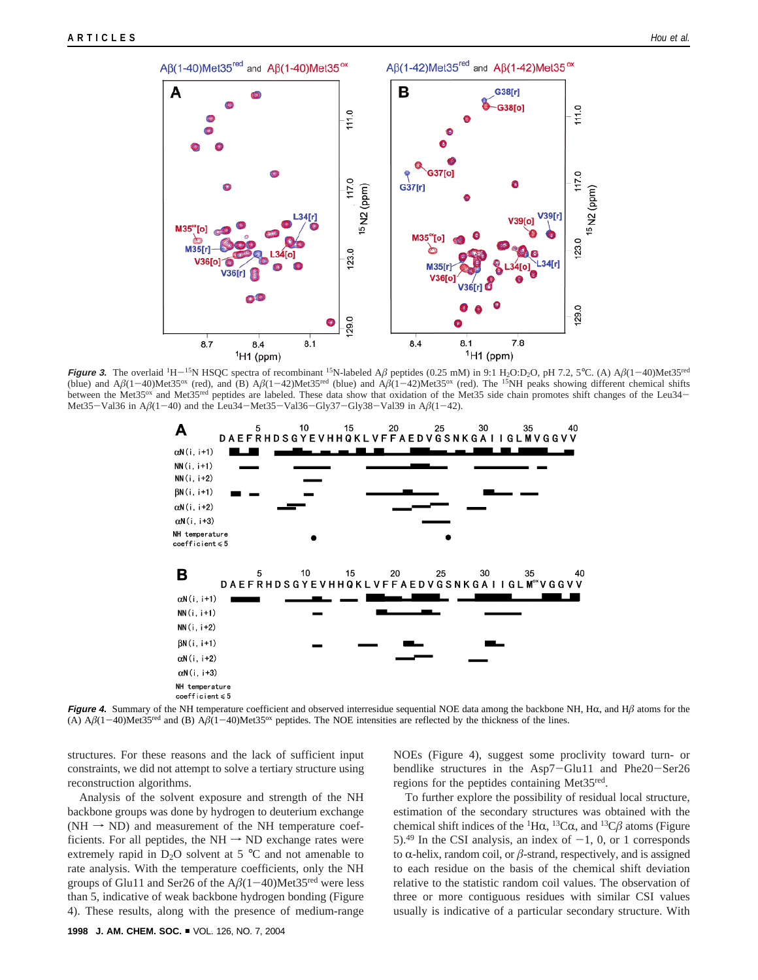

**Figure 3.** The overlaid <sup>1</sup>H-<sup>15</sup>N HSQC spectra of recombinant <sup>15</sup>N-labeled A $\beta$  peptides (0.25 mM) in 9:1 H<sub>2</sub>O:D<sub>2</sub>O, pH 7.2, 5°C. (A) A $\beta$ (1-40)Met35<sup>red</sup> (blue) and  $A\beta(1-40)$ Met35<sup>ox</sup> (red), and (B)  $A\beta(1-42)$ Met35<sup>red</sup> (blue) and  $A\beta(1-42)$ Met35<sup>ox</sup> (red). The <sup>15</sup>NH peaks showing different chemical shifts between the Met35<sup>ox</sup> and Met35<sup>red</sup> peptides are labeled. These data show that oxidation of the Met35 side chain promotes shift changes of the Leu34-Met35-Val36 in  $A\beta(1-40)$  and the Leu34-Met35-Val36-Gly37-Gly38-Val39 in  $A\beta(1-42)$ .



**Figure 4.** Summary of the NH temperature coefficient and observed interresidue sequential NOE data among the backbone NH, H $\alpha$ , and H $\beta$  atoms for the (A)  $A\beta(1-40)$ Met35<sup>red</sup> and (B)  $A\beta(1-40)$ Met35<sup>ox</sup> peptides. The NOE intensities are reflected by the thickness of the lines.

structures. For these reasons and the lack of sufficient input constraints, we did not attempt to solve a tertiary structure using reconstruction algorithms.

Analysis of the solvent exposure and strength of the NH backbone groups was done by hydrogen to deuterium exchange  $(NH \rightarrow ND)$  and measurement of the NH temperature coefficients. For all peptides, the NH  $\rightarrow$  ND exchange rates were extremely rapid in  $D_2O$  solvent at 5 °C and not amenable to rate analysis. With the temperature coefficients, only the NH groups of Glu11 and Ser26 of the  $A\beta(1-40)$ Met35<sup>red</sup> were less than 5, indicative of weak backbone hydrogen bonding (Figure 4). These results, along with the presence of medium-range

NOEs (Figure 4), suggest some proclivity toward turn- or bendlike structures in the Asp7-Glu11 and Phe20-Ser26 regions for the peptides containing Met35red.

To further explore the possibility of residual local structure, estimation of the secondary structures was obtained with the chemical shift indices of the <sup>1</sup>H $\alpha$ , <sup>13</sup>C $\alpha$ , and <sup>13</sup>C $\beta$  atoms (Figure 5).<sup>49</sup> In the CSI analysis, an index of  $-1$ , 0, or 1 corresponds to  $\alpha$ -helix, random coil, or  $\beta$ -strand, respectively, and is assigned to each residue on the basis of the chemical shift deviation relative to the statistic random coil values. The observation of three or more contiguous residues with similar CSI values usually is indicative of a particular secondary structure. With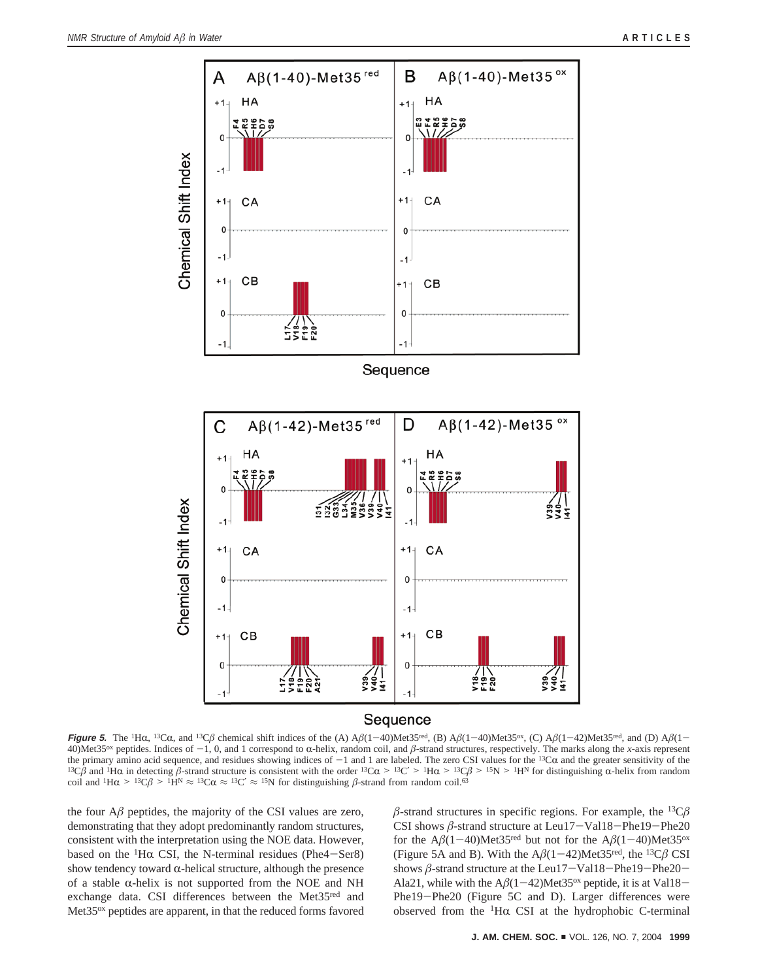

**Figure 5.** The <sup>1</sup>H $\alpha$ , <sup>13</sup>C $\alpha$ , and <sup>13</sup>C $\beta$  chemical shift indices of the (A)  $A\beta(1-40)$ Met35<sup>red</sup>, (B)  $A\beta(1-40)$ Met35<sup>ox</sup>, (C)  $A\beta(1-42)$ Met35<sup>red</sup>, and (D)  $A\beta(1-42)$ 40)Met35<sup>ox</sup> peptides. Indices of -1, 0, and 1 correspond to  $\alpha$ -helix, random coil, and  $\beta$ -strand structures, respectively. The marks along the *x*-axis represent the primary amino acid sequence, and residues showing the primary amino acid sequence, and residues showing indices of  $-1$  and 1 are labeled. The zero CSI values for the <sup>13</sup>C $\alpha$  and the greater sensitivity of the <sup>13</sup>C $\beta$  and <sup>1</sup>H $\alpha$  in detecting  $\beta$ -strand structure i coil and <sup>1</sup>H $\alpha$  > <sup>13</sup>C $\beta$  > <sup>1</sup>H<sup>N</sup>  $\approx$  <sup>13</sup>C $\alpha$   $\approx$  <sup>13</sup>C'  $\approx$  <sup>15</sup>N for distinguishing  $\beta$ -strand from random coil.<sup>63</sup>

the four  $A\beta$  peptides, the majority of the CSI values are zero, demonstrating that they adopt predominantly random structures, consistent with the interpretation using the NOE data. However, based on the <sup>1</sup>H $\alpha$  CSI, the N-terminal residues (Phe4-Ser8) show tendency toward  $\alpha$ -helical structure, although the presence of a stable  $\alpha$ -helix is not supported from the NOE and NH exchange data. CSI differences between the Met35red and Met35ox peptides are apparent, in that the reduced forms favored  $\beta$ -strand structures in specific regions. For example, the <sup>13</sup>C $\beta$ CSI shows *<sup>â</sup>*-strand structure at Leu17-Val18-Phe19-Phe20 for the  $A\beta(1-40)$ Met35<sup>red</sup> but not for the  $A\beta(1-40)$ Met35<sup>ox</sup> (Figure 5A and B). With the  $A\beta(1-42)$ Met35<sup>red</sup>, the <sup>13</sup>C $\beta$  CSI shows  $\beta$ -strand structure at the Leu17-Val18-Phe19-Phe20-Ala21, while with the  $A\beta(1-42)$ Met35<sup>ox</sup> peptide, it is at Val18-Phe19-Phe20 (Figure 5C and D). Larger differences were observed from the  ${}^{1}$ H $\alpha$  CSI at the hydrophobic C-terminal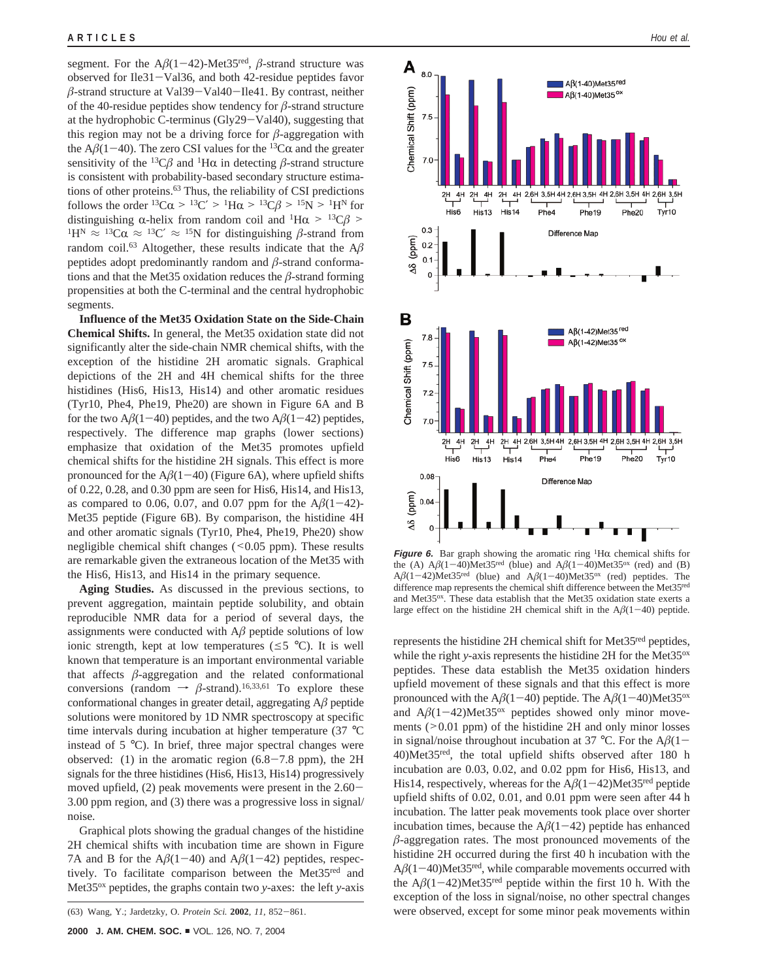segment. For the  $A\beta(1-42)$ -Met35<sup>red</sup>,  $\beta$ -strand structure was observed for Ile31-Val36, and both 42-residue peptides favor  $\beta$ -strand structure at Val39-Val40-Ile41. By contrast, neither of the 40-residue peptides show tendency for *â*-strand structure at the hydrophobic C-terminus (Gly29-Val40), suggesting that this region may not be a driving force for  $\beta$ -aggregation with the  $A\beta(1-40)$ . The zero CSI values for the <sup>13</sup>C $\alpha$  and the greater sensitivity of the <sup>13</sup>C $\beta$  and <sup>1</sup>H $\alpha$  in detecting  $\beta$ -strand structure is consistent with probability-based secondary structure estimations of other proteins.<sup>63</sup> Thus, the reliability of CSI predictions follows the order <sup>13</sup>C $\alpha$  > <sup>13</sup>C' > <sup>1</sup>H $\alpha$  > <sup>13</sup>C $\beta$  > <sup>15</sup>N > <sup>1</sup>H<sup>N</sup> for distinguishing  $\alpha$ -helix from random coil and <sup>1</sup>H $\alpha$  > <sup>13</sup>C $\beta$  >  ${}^{1}H^{N} \approx {}^{13}C\alpha \approx {}^{13}C' \approx {}^{15}N$  for distinguishing  $\beta$ -strand from random coil.<sup>63</sup> Altogether, these results indicate that the  $A\beta$ peptides adopt predominantly random and *â*-strand conformations and that the Met35 oxidation reduces the *â*-strand forming propensities at both the C-terminal and the central hydrophobic segments.

**Influence of the Met35 Oxidation State on the Side-Chain Chemical Shifts.** In general, the Met35 oxidation state did not significantly alter the side-chain NMR chemical shifts, with the exception of the histidine 2H aromatic signals. Graphical depictions of the 2H and 4H chemical shifts for the three histidines (His6, His13, His14) and other aromatic residues (Tyr10, Phe4, Phe19, Phe20) are shown in Figure 6A and B for the two  $A\beta(1-40)$  peptides, and the two  $A\beta(1-42)$  peptides, respectively. The difference map graphs (lower sections) emphasize that oxidation of the Met35 promotes upfield chemical shifts for the histidine 2H signals. This effect is more pronounced for the  $A\beta(1-40)$  (Figure 6A), where upfield shifts of 0.22, 0.28, and 0.30 ppm are seen for His6, His14, and His13, as compared to 0.06, 0.07, and 0.07 ppm for the  $A\beta(1-42)$ -Met35 peptide (Figure 6B). By comparison, the histidine 4H and other aromatic signals (Tyr10, Phe4, Phe19, Phe20) show negligible chemical shift changes  $( $0.05$  ppm). These results$ are remarkable given the extraneous location of the Met35 with the His6, His13, and His14 in the primary sequence.

**Aging Studies.** As discussed in the previous sections, to prevent aggregation, maintain peptide solubility, and obtain reproducible NMR data for a period of several days, the assignments were conducted with  $A\beta$  peptide solutions of low ionic strength, kept at low temperatures ( $\leq$ 5 °C). It is well known that temperature is an important environmental variable that affects  $\beta$ -aggregation and the related conformational conversions (random  $\rightarrow \beta$ -strand).<sup>16,33,61</sup> To explore these conformational changes in greater detail, aggregating A*â* peptide solutions were monitored by 1D NMR spectroscopy at specific time intervals during incubation at higher temperature (37 °C instead of 5 °C). In brief, three major spectral changes were observed: (1) in the aromatic region  $(6.8-7.8$  ppm), the 2H signals for the three histidines (His6, His13, His14) progressively moved upfield, (2) peak movements were present in the 2.60- 3.00 ppm region, and (3) there was a progressive loss in signal/ noise.

Graphical plots showing the gradual changes of the histidine 2H chemical shifts with incubation time are shown in Figure 7A and B for the  $A\beta(1-40)$  and  $A\beta(1-42)$  peptides, respectively. To facilitate comparison between the Met35red and Met35ox peptides, the graphs contain two *y*-axes: the left *y*-axis



**Figure 6.** Bar graph showing the aromatic ring <sup>1</sup>H $\alpha$  chemical shifts for the (A)  $\Delta\beta(1-40)$ Met35<sup>red</sup> (blue) and  $\Delta\beta(1-40)$ Met35<sup>ox</sup> (red) and (B) the (A)  $A\beta(1-40)$ Met35<sup>red</sup> (blue) and  $A\beta(1-40)$ Met35<sup>ox</sup> (red) and (B)  $A\beta(1-42)$ Met35<sup>red</sup> (blue) and  $A\beta(1-40)$ Met35<sup>ox</sup> (red) pentides. The  $A\beta(1-42)$ Met35<sup>red</sup> (blue) and  $A\beta(1-40)$ Met35<sup>ox</sup> (red) peptides. The difference man represents the chemical shift difference hetween the Met35<sup>red</sup> difference map represents the chemical shift difference between the Met35red and Met35ox. These data establish that the Met35 oxidation state exerts a large effect on the histidine 2H chemical shift in the  $A\beta(1-40)$  peptide.

represents the histidine 2H chemical shift for Met35red peptides, while the right *y*-axis represents the histidine 2H for the Met35<sup>ox</sup> peptides. These data establish the Met35 oxidation hinders upfield movement of these signals and that this effect is more pronounced with the  $A\beta(1-40)$  peptide. The  $A\beta(1-40)$ Met35<sup>ox</sup> and  $A\beta(1-42)$ Met35<sup>ox</sup> peptides showed only minor movements (>0.01 ppm) of the histidine 2H and only minor losses in signal/noise throughout incubation at 37 °C. For the  $A\beta(1-\alpha)$ 40)Met35red, the total upfield shifts observed after 180 h incubation are 0.03, 0.02, and 0.02 ppm for His6, His13, and His14, respectively, whereas for the  $A\beta(1-42)$ Met35<sup>red</sup> peptide upfield shifts of 0.02, 0.01, and 0.01 ppm were seen after 44 h incubation. The latter peak movements took place over shorter incubation times, because the  $A\beta(1-42)$  peptide has enhanced *â*-aggregation rates. The most pronounced movements of the histidine 2H occurred during the first 40 h incubation with the  $A\beta(1-40)$ Met35<sup>red</sup>, while comparable movements occurred with the  $A\beta(1-42)$ Met35<sup>red</sup> peptide within the first 10 h. With the exception of the loss in signal/noise, no other spectral changes (63) Wang, Y.; Jardetzky, O. *Protein Sci.* **<sup>2002</sup>**, *<sup>11</sup>*, 852-861. were observed, except for some minor peak movements within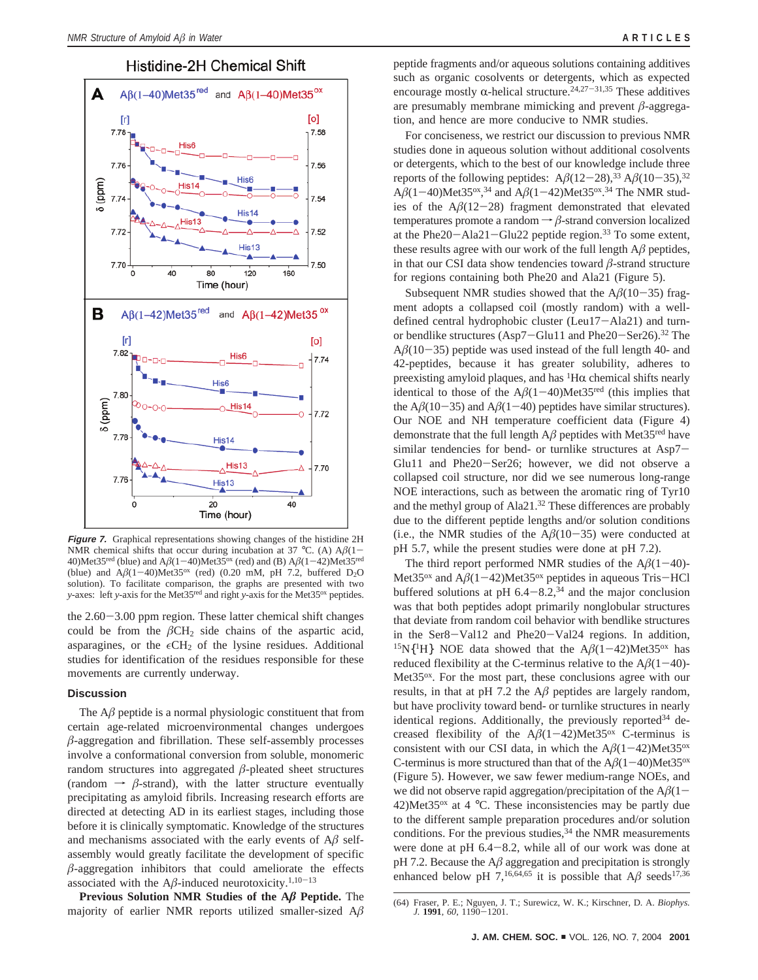# Histidine-2H Chemical Shift



**Figure 7.** Graphical representations showing changes of the histidine 2H NMR chemical shifts that occur during incubation at 37 °C. (A)  $A\beta(1-\alpha)$ 40)Met35<sup>red</sup> (blue) and  $A\beta(1-40)$ Met35<sup>ox</sup> (red) and (B)  $A\beta(1-42)$ Met35<sup>red</sup> (blue) and  $A\beta(1-40)$ Met35<sup>ox</sup> (red) (0.20 mM, pH 7.2, buffered D<sub>2</sub>O solution). To facilitate comparison, the graphs are presented with two *y*-axes: left *y*-axis for the Met<sup>35red</sup> and right *y*-axis for the Met<sup>35ox</sup> peptides.

the 2.60-3.00 ppm region. These latter chemical shift changes could be from the  $\beta$ CH<sub>2</sub> side chains of the aspartic acid, asparagines, or the  $\epsilon$ CH<sub>2</sub> of the lysine residues. Additional studies for identification of the residues responsible for these movements are currently underway.

#### **Discussion**

The  $A\beta$  peptide is a normal physiologic constituent that from certain age-related microenvironmental changes undergoes  $\beta$ -aggregation and fibrillation. These self-assembly processes involve a conformational conversion from soluble, monomeric random structures into aggregated  $\beta$ -pleated sheet structures (random  $\rightarrow \beta$ -strand), with the latter structure eventually precipitating as amyloid fibrils. Increasing research efforts are directed at detecting AD in its earliest stages, including those before it is clinically symptomatic. Knowledge of the structures and mechanisms associated with the early events of  $A\beta$  selfassembly would greatly facilitate the development of specific  $\beta$ -aggregation inhibitors that could ameliorate the effects associated with the  $A\beta$ -induced neurotoxicity.<sup>1,10-13</sup>

**Previous Solution NMR Studies of the A***â* **Peptide.** The majority of earlier NMR reports utilized smaller-sized A*â*

peptide fragments and/or aqueous solutions containing additives such as organic cosolvents or detergents, which as expected encourage mostly  $\alpha$ -helical structure.<sup>24,27-31,35</sup> These additives are presumably membrane mimicking and prevent *â*-aggregation, and hence are more conducive to NMR studies.

For conciseness, we restrict our discussion to previous NMR studies done in aqueous solution without additional cosolvents or detergents, which to the best of our knowledge include three reports of the following peptides:  $A\beta(12-28)^{33} A\beta(10-35)^{32}$  $A\beta(1-40)$ Met35<sup>ox</sup>,<sup>34</sup> and  $A\beta(1-42)$ Met35<sup>ox</sup>,<sup>34</sup> The NMR stud-<br>ies of the  $A\beta(12-28)$  fragment demonstrated that elevated ies of the  $A\beta(12-28)$  fragment demonstrated that elevated temperatures promote a random  $\rightarrow \beta$ -strand conversion localized at the Phe20-Ala21-Glu22 peptide region.<sup>33</sup> To some extent, these results agree with our work of the full length A*â* peptides, in that our CSI data show tendencies toward *â*-strand structure for regions containing both Phe20 and Ala21 (Figure 5).

Subsequent NMR studies showed that the  $A\beta(10-35)$  fragment adopts a collapsed coil (mostly random) with a welldefined central hydrophobic cluster (Leu17-Ala21) and turnor bendlike structures (Asp7-Glu11 and Phe20-Ser26).32 The  $A\beta(10-35)$  peptide was used instead of the full length 40- and 42-peptides, because it has greater solubility, adheres to preexisting amyloid plaques, and has  ${}^{1}H\alpha$  chemical shifts nearly identical to those of the  $A\beta(1-40)$ Met35<sup>red</sup> (this implies that the  $A\beta(10-35)$  and  $A\beta(1-40)$  peptides have similar structures). Our NOE and NH temperature coefficient data (Figure 4) demonstrate that the full length  $A\beta$  peptides with Met35<sup>red</sup> have similar tendencies for bend- or turnlike structures at Asp7- Glu11 and Phe20-Ser26; however, we did not observe a collapsed coil structure, nor did we see numerous long-range NOE interactions, such as between the aromatic ring of Tyr10 and the methyl group of Ala21.<sup>32</sup> These differences are probably due to the different peptide lengths and/or solution conditions (i.e., the NMR studies of the  $A\beta(10-35)$  were conducted at pH 5.7, while the present studies were done at pH 7.2).

The third report performed NMR studies of the  $A\beta(1-40)$ -Met35<sup>ox</sup> and  $A\beta(1-42)$ Met35<sup>ox</sup> peptides in aqueous Tris-HCl buffered solutions at pH  $6.4 - 8.2$ ,<sup>34</sup> and the major conclusion was that both peptides adopt primarily nonglobular structures that deviate from random coil behavior with bendlike structures in the Ser8-Val12 and Phe20-Val24 regions. In addition,  $15N{1H}$  NOE data showed that the  $A\beta(1-42)$ Met35<sup>ox</sup> has reduced flexibility at the C-terminus relative to the  $A\beta(1-40)$ -Met35<sup>ox</sup>. For the most part, these conclusions agree with our results, in that at pH 7.2 the  $A\beta$  peptides are largely random, but have proclivity toward bend- or turnlike structures in nearly identical regions. Additionally, the previously reported<sup>34</sup> decreased flexibility of the  $A\beta(1-42)$ Met35<sup>ox</sup> C-terminus is consistent with our CSI data, in which the  $A\beta(1-42)$ Met35<sup>ox</sup> C-terminus is more structured than that of the  $A\beta(1-40)$ Met35<sup>ox</sup> (Figure 5). However, we saw fewer medium-range NOEs, and we did not observe rapid aggregation/precipitation of the  $A\beta(1-\alpha)$ 42)Met35<sup>ox</sup> at 4 °C. These inconsistencies may be partly due to the different sample preparation procedures and/or solution conditions. For the previous studies,  $34$  the NMR measurements were done at pH 6.4-8.2, while all of our work was done at  $pH$  7.2. Because the  $A\beta$  aggregation and precipitation is strongly enhanced below pH 7,<sup>16,64,65</sup> it is possible that  $A\beta$  seeds<sup>17,36</sup>

<sup>(64)</sup> Fraser, P. E.; Nguyen, J. T.; Surewicz, W. K.; Kirschner, D. A. *Biophys. J.* **<sup>1991</sup>**, *<sup>60</sup>*, 1190-1201.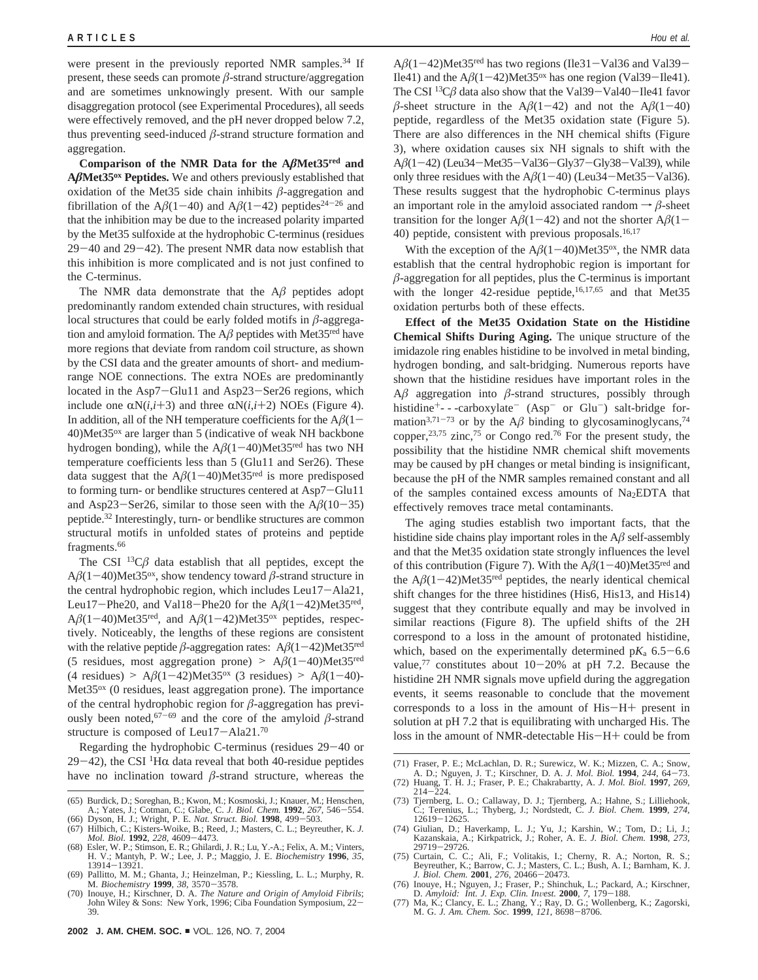were present in the previously reported NMR samples.<sup>34</sup> If present, these seeds can promote  $\beta$ -strand structure/aggregation and are sometimes unknowingly present. With our sample disaggregation protocol (see Experimental Procedures), all seeds were effectively removed, and the pH never dropped below 7.2, thus preventing seed-induced  $\beta$ -strand structure formation and aggregation.

**Comparison of the NMR Data for the A***â***Met35red and A***â***Met35ox Peptides.** We and others previously established that oxidation of the Met35 side chain inhibits  $\beta$ -aggregation and fibrillation of the  $A\beta(1-40)$  and  $A\beta(1-42)$  peptides<sup>24-26</sup> and that the inhibition may be due to the increased polarity imparted by the Met35 sulfoxide at the hydrophobic C-terminus (residues  $29-40$  and  $29-42$ ). The present NMR data now establish that this inhibition is more complicated and is not just confined to the C-terminus.

The NMR data demonstrate that the  $A\beta$  peptides adopt predominantly random extended chain structures, with residual local structures that could be early folded motifs in  $\beta$ -aggregation and amyloid formation. The  $A\beta$  peptides with Met35<sup>red</sup> have more regions that deviate from random coil structure, as shown by the CSI data and the greater amounts of short- and mediumrange NOE connections. The extra NOEs are predominantly located in the Asp7-Glu11 and Asp23-Ser26 regions, which include one  $\alpha N(i,i+3)$  and three  $\alpha N(i,i+2)$  NOEs (Figure 4). In addition, all of the NH temperature coefficients for the  $A\beta(1-\alpha)$ 40)Met35ox are larger than 5 (indicative of weak NH backbone hydrogen bonding), while the  $A\beta(1-40)$ Met35<sup>red</sup> has two NH temperature coefficients less than 5 (Glu11 and Ser26). These data suggest that the  $A\beta(1-40)$ Met35<sup>red</sup> is more predisposed to forming turn- or bendlike structures centered at Asp7-Glu11 and Asp23-Ser26, similar to those seen with the  $A\beta(10-35)$ peptide.32 Interestingly, turn- or bendlike structures are common structural motifs in unfolded states of proteins and peptide fragments.<sup>66</sup>

The CSI  $^{13}C\beta$  data establish that all peptides, except the  $A\beta(1-40)$ Met35<sup>ox</sup>, show tendency toward  $\beta$ -strand structure in the central hydrophobic region, which includes Leu17-Ala21, Leu17-Phe20, and Val18-Phe20 for the  $A\beta(1-42)$ Met35<sup>red</sup>,  $A\beta(1-40)$ Met35<sup>red</sup>, and  $A\beta(1-42)$ Met35<sup>ox</sup> peptides, respectively. Noticeably, the lengths of these regions are consistent with the relative peptide  $\beta$ -aggregation rates:  $A\beta(1-42)$ Met35<sup>red</sup> (5 residues, most aggregation prone)  $> A\beta(1-40)$ Met35<sup>red</sup>  $(4 \text{ residues})$  >  $A\beta(1-42)$ Met35<sup>ox</sup> (3 residues) >  $A\beta(1-40)$ -Met35<sup>ox</sup> (0 residues, least aggregation prone). The importance of the central hydrophobic region for *â*-aggregation has previously been noted,  $67-69$  and the core of the amyloid  $\beta$ -strand structure is composed of Leu17-Ala21.<sup>70</sup>

Regarding the hydrophobic C-terminus (residues 29-40 or 29-42), the CSI <sup>1</sup>H $\alpha$  data reveal that both 40-residue peptides have no inclination toward  $\beta$ -strand structure, whereas the

 $A\beta(1-42)$ Met35<sup>red</sup> has two regions (Ile31-Val36 and Val39-Ile41) and the  $A\beta(1-42)$ Met35<sup>ox</sup> has one region (Val39-Ile41). The CSI <sup>13</sup>C $\beta$  data also show that the Val39-Val40-Ile41 favor  $\beta$ -sheet structure in the A $\beta$ (1-42) and not the A $\beta$ (1-40) peptide, regardless of the Met35 oxidation state (Figure 5). There are also differences in the NH chemical shifts (Figure 3), where oxidation causes six NH signals to shift with the A $\beta$ (1-42) (Leu34-Met35-Val36-Gly37-Gly38-Val39), while only three residues with the  $A\beta(1-40)$  (Leu34-Met35-Val36). These results suggest that the hydrophobic C-terminus plays an important role in the amyloid associated random  $\rightarrow \beta$ -sheet transition for the longer  $A\beta(1-42)$  and not the shorter  $A\beta(1-$ 40) peptide, consistent with previous proposals.<sup>16,17</sup>

With the exception of the  $A\beta(1-40)$ Met35<sup>ox</sup>, the NMR data establish that the central hydrophobic region is important for  $β$ -aggregation for all peptides, plus the C-terminus is important with the longer 42-residue peptide,<sup>16,17,65</sup> and that Met35 oxidation perturbs both of these effects.

**Effect of the Met35 Oxidation State on the Histidine Chemical Shifts During Aging.** The unique structure of the imidazole ring enables histidine to be involved in metal binding, hydrogen bonding, and salt-bridging. Numerous reports have shown that the histidine residues have important roles in the A*â* aggregation into *â*-strand structures, possibly through histidine<sup>+</sup>---carboxylate<sup>-</sup> (Asp<sup>-</sup> or Glu<sup>-</sup>) salt-bridge formation<sup>3,71-73</sup> or by the A $\beta$  binding to glycosaminoglycans,<sup>74</sup> copper,<sup>23,75</sup> zinc,<sup>75</sup> or Congo red.<sup>76</sup> For the present study, the possibility that the histidine NMR chemical shift movements may be caused by pH changes or metal binding is insignificant, because the pH of the NMR samples remained constant and all of the samples contained excess amounts of Na<sub>2</sub>EDTA that effectively removes trace metal contaminants.

The aging studies establish two important facts, that the histidine side chains play important roles in the  $A\beta$  self-assembly and that the Met35 oxidation state strongly influences the level of this contribution (Figure 7). With the  $A\beta(1-40)$ Met35<sup>red</sup> and the  $A\beta(1-42)$ Met35<sup>red</sup> peptides, the nearly identical chemical shift changes for the three histidines (His6, His13, and His14) suggest that they contribute equally and may be involved in similar reactions (Figure 8). The upfield shifts of the 2H correspond to a loss in the amount of protonated histidine, which, based on the experimentally determined  $pK_a$  6.5–6.6 value,<sup>77</sup> constitutes about  $10-20%$  at pH 7.2. Because the histidine 2H NMR signals move upfield during the aggregation events, it seems reasonable to conclude that the movement corresponds to a loss in the amount of His-H+ present in solution at pH 7.2 that is equilibrating with uncharged His. The loss in the amount of NMR-detectable His-H+ could be from

- (71) Fraser, P. E.; McLachlan, D. R.; Surewicz, W. K.; Mizzen, C. A.; Snow, A. D.; Nguyen, J. T.; Kirschner, D. A. J. Mol. Biol. 1994, 244, 64-73. A. D.; Nguyen, J. T.; Kirschner, D. A. *J. Mol. Biol.* **<sup>1994</sup>**, *<sup>244</sup>*, 64-73. (72) Huang, T. H. J.; Fraser, P. E.; Chakrabartty, A. *J. Mol. Biol.* **1997**, *269*,
- 
- <sup>214</sup>-224. (73) Tjernberg, L. O.; Callaway, D. J.; Tjernberg, A.; Hahne, S.; Lilliehook, C.; Terenius, L.; Thyberg, J.; Nordstedt, C. *J. Biol. Chem.* **1999**, *274*, <sup>12619</sup>-12625. (74) Giulian, D.; Haverkamp, L. J.; Yu, J.; Karshin, W.; Tom, D.; Li, J.;
- Kazanskaia, A.; Kirkpatrick, J.; Roher, A. E. *J. Biol. Chem.* **1998**, *273*, <sup>29719</sup>-29726. (75) Curtain, C. C.; Ali, F.; Volitakis, I.; Cherny, R. A.; Norton, R. S.;
- Beyreuther, K.; Barrow, C. J.; Masters, C. L.; Bush, A. I.; Barnham, K. J. J. Biol. Chem. 2001, 276, 20466-20473. *J. Biol. Chem.* **<sup>2001</sup>**, *<sup>276</sup>*, 20466-20473. (76) Inouye, H.; Nguyen, J.; Fraser, P.; Shinchuk, L.; Packard, A.; Kirschner,
- 
- D. Amyloid: *Int. J. Exp. Clin. Invest.* **2000**, 7, 179–188.<br>(77) Ma, K.; Clancy, E. L.; Zhang, Y.; Ray, D. G.; Wollenberg, K.; Zagorski, M. G. *J. Am. Chem. Soc.* **1999**, *121*, 8698–8706.

<sup>(65)</sup> Burdick, D.; Soreghan, B.; Kwon, M.; Kosmoski, J.; Knauer, M.; Henschen, A.; Yates, J.; Cotman, C.; Glabe, C. *J. Biol. Chem.* **<sup>1992</sup>**, *<sup>267</sup>*, 546-554.

<sup>(66)</sup> Dyson, H. J.; Wright, P. E. *Nat. Struct. Biol.* **<sup>1998</sup>**, 499-503.

<sup>(67)</sup> Hilbich, C.; Kisters-Woike, B.; Reed, J.; Masters, C. L.; Beyreuther, K. *J. Mol. Biol.* **<sup>1992</sup>**, *<sup>228</sup>*, 4609-4473.

<sup>(68)</sup> Esler, W. P.; Stimson, E. R.; Ghilardi, J. R.; Lu, Y.-A.; Felix, A. M.; Vinters, H. V.; Mantyh, P. W.; Lee, J. P.; Maggio, J. E. *Biochemistry* **1996**, *35*,

<sup>13914</sup>-13921. (69) Pallitto, M. M.; Ghanta, J.; Heinzelman, P.; Kiessling, L. L.; Murphy, R. M. *Biochemistry* **<sup>1999</sup>**, *<sup>38</sup>*, 3570-3578.

<sup>(70)</sup> Inouye, H.; Kirschner, D. A. *The Nature and Origin of Amyloid Fibrils*; John Wiley & Sons: New York, 1996; Ciba Foundation Symposium, 22- 39.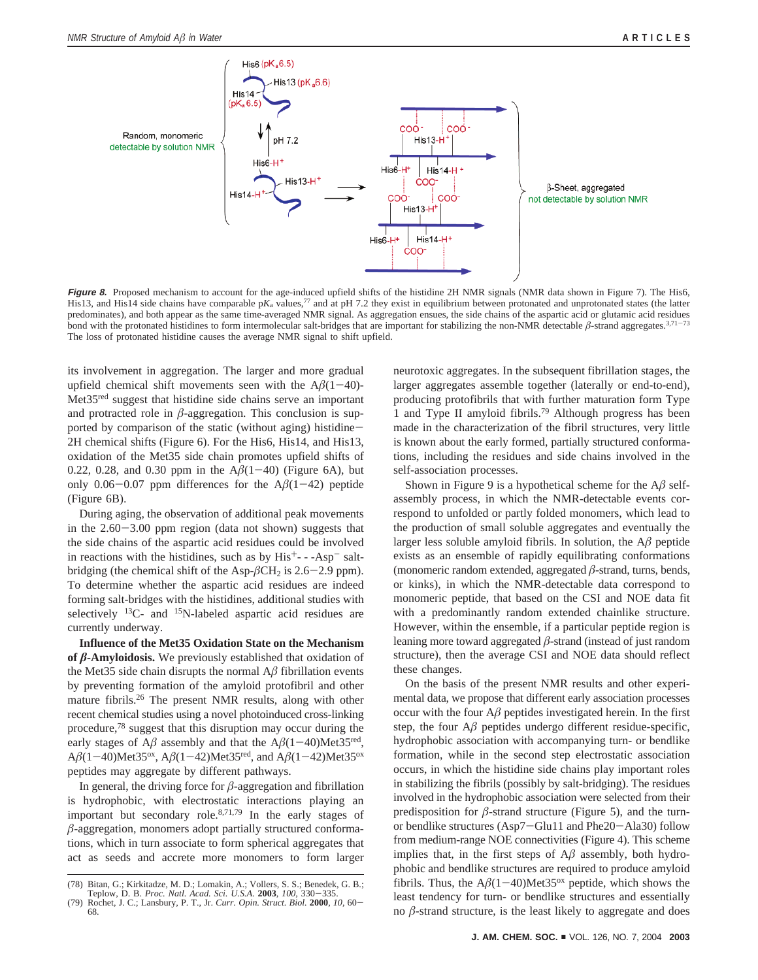

Figure 8. Proposed mechanism to account for the age-induced upfield shifts of the histidine 2H NMR signals (NMR data shown in Figure 7). The His6, His13, and His14 side chains have comparable p*K*<sub>a</sub> values,<sup>77</sup> and at pH 7.2 they exist in equilibrium between protonated and unprotonated states (the latter predominates), and both appear as the same time-averaged NMR signal. As aggregation ensues, the side chains of the aspartic acid or glutamic acid residues bond with the protonated histidines to form intermolecular salt-bridges that are important for stabilizing the non-NMR detectable *â*-strand aggregates.3,71-<sup>73</sup> The loss of protonated histidine causes the average NMR signal to shift upfield.

its involvement in aggregation. The larger and more gradual upfield chemical shift movements seen with the  $A\beta(1-40)$ -Met35<sup>red</sup> suggest that histidine side chains serve an important and protracted role in  $\beta$ -aggregation. This conclusion is supported by comparison of the static (without aging) histidine-2H chemical shifts (Figure 6). For the His6, His14, and His13, oxidation of the Met35 side chain promotes upfield shifts of 0.22, 0.28, and 0.30 ppm in the  $A\beta(1-40)$  (Figure 6A), but only  $0.06-0.07$  ppm differences for the  $A\beta(1-42)$  peptide (Figure 6B).

During aging, the observation of additional peak movements in the 2.60-3.00 ppm region (data not shown) suggests that the side chains of the aspartic acid residues could be involved in reactions with the histidines, such as by  $His^{+}$  - -Asp<sup>-</sup> saltbridging (the chemical shift of the Asp- $\beta$ CH<sub>2</sub> is 2.6–2.9 ppm). To determine whether the aspartic acid residues are indeed forming salt-bridges with the histidines, additional studies with selectively  $^{13}$ C- and  $^{15}$ N-labeled aspartic acid residues are currently underway.

**Influence of the Met35 Oxidation State on the Mechanism** of  $\beta$ **-Amyloidosis.** We previously established that oxidation of the Met35 side chain disrupts the normal  $A\beta$  fibrillation events by preventing formation of the amyloid protofibril and other mature fibrils.26 The present NMR results, along with other recent chemical studies using a novel photoinduced cross-linking procedure,78 suggest that this disruption may occur during the early stages of  $A\beta$  assembly and that the  $A\beta(1-40)$ Met35<sup>red</sup>, A $\beta$ (1-40)Met35<sup>ox</sup>, A $\beta$ (1-42)Met35<sup>red</sup>, and A $\beta$ (1-42)Met35<sup>ox</sup> peptides may aggregate by different pathways.

In general, the driving force for  $\beta$ -aggregation and fibrillation is hydrophobic, with electrostatic interactions playing an important but secondary role.8,71,79 In the early stages of  $β$ -aggregation, monomers adopt partially structured conformations, which in turn associate to form spherical aggregates that act as seeds and accrete more monomers to form larger

neurotoxic aggregates. In the subsequent fibrillation stages, the larger aggregates assemble together (laterally or end-to-end), producing protofibrils that with further maturation form Type 1 and Type II amyloid fibrils.79 Although progress has been made in the characterization of the fibril structures, very little is known about the early formed, partially structured conformations, including the residues and side chains involved in the self-association processes.

Shown in Figure 9 is a hypothetical scheme for the  $A\beta$  selfassembly process, in which the NMR-detectable events correspond to unfolded or partly folded monomers, which lead to the production of small soluble aggregates and eventually the larger less soluble amyloid fibrils. In solution, the A*â* peptide exists as an ensemble of rapidly equilibrating conformations (monomeric random extended, aggregated *â*-strand, turns, bends, or kinks), in which the NMR-detectable data correspond to monomeric peptide, that based on the CSI and NOE data fit with a predominantly random extended chainlike structure. However, within the ensemble, if a particular peptide region is leaning more toward aggregated *â*-strand (instead of just random structure), then the average CSI and NOE data should reflect these changes.

On the basis of the present NMR results and other experimental data, we propose that different early association processes occur with the four  $A\beta$  peptides investigated herein. In the first step, the four  $A\beta$  peptides undergo different residue-specific, hydrophobic association with accompanying turn- or bendlike formation, while in the second step electrostatic association occurs, in which the histidine side chains play important roles in stabilizing the fibrils (possibly by salt-bridging). The residues involved in the hydrophobic association were selected from their predisposition for  $\beta$ -strand structure (Figure 5), and the turnor bendlike structures (Asp7-Glu11 and Phe20-Ala30) follow from medium-range NOE connectivities (Figure 4). This scheme implies that, in the first steps of  $A\beta$  assembly, both hydrophobic and bendlike structures are required to produce amyloid fibrils. Thus, the  $A\beta(1-40)$ Met35<sup>ox</sup> peptide, which shows the least tendency for turn- or bendlike structures and essentially no  $\beta$ -strand structure, is the least likely to aggregate and does

<sup>(78)</sup> Bitan, G.; Kirkitadze, M. D.; Lomakin, A.; Vollers, S. S.; Benedek, G. B.; Teplow, D. B. Proc. Natl. Acad. Sci. U.S.A. 2003, 100, 330-335.

Teplow, D. B. *Proc. Natl. Acad. Sci. U.S.A.* **<sup>2003</sup>**, *<sup>100</sup>*, 330-335. (79) Rochet, J. C.; Lansbury, P. T., Jr. *Curr. Opin. Struct. Biol.* **<sup>2000</sup>**, *<sup>10</sup>*, 60- 68.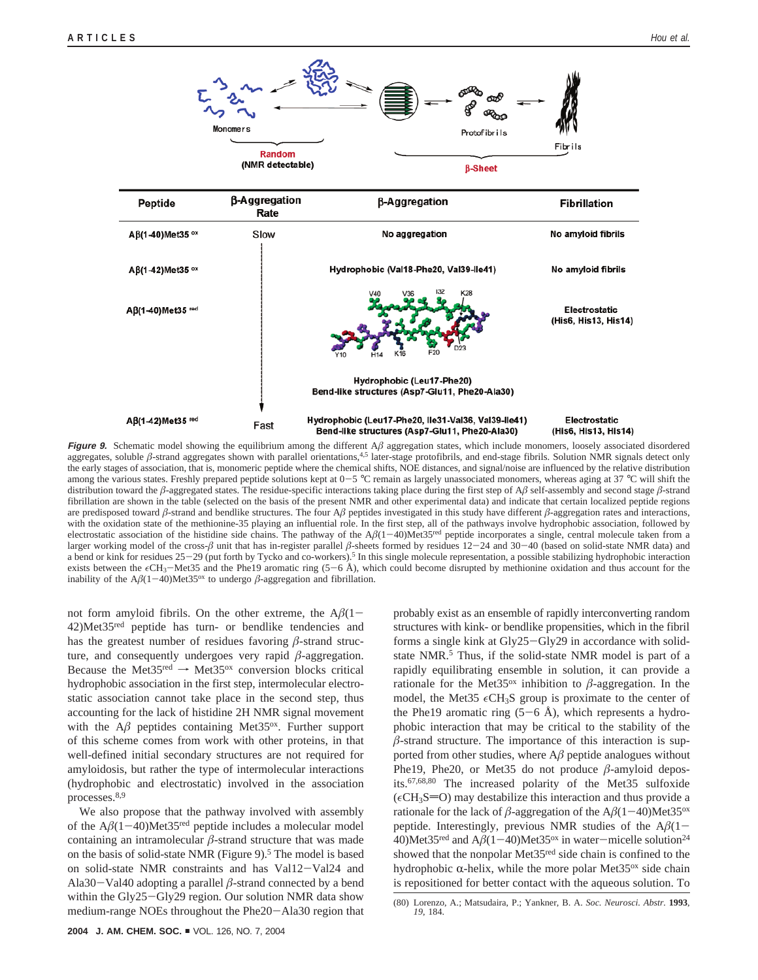

**Figure 9.** Schematic model showing the equilibrium among the different  $A\beta$  aggregation states, which include monomers, loosely associated disordered aggregates, soluble  $\beta$ -strand aggregates shown with parallel orientations,<sup>4,5</sup> later-stage protofibrils, and end-stage fibrils. Solution NMR signals detect only the early stages of association, that is, monomeric peptide where the chemical shifts, NOE distances, and signal/noise are influenced by the relative distribution among the various states. Freshly prepared peptide solutions kept at  $0-5$  °C remain as largely unassociated monomers, whereas aging at 37 °C will shift the distribution toward the  $\beta$ -aggregated states. The residue-specific interactions taking place during the first step of A $\beta$  self-assembly and second stage  $\beta$ -strand fibrillation are shown in the table (selected on the basis of the present NMR and other experimental data) and indicate that certain localized peptide regions are predisposed toward  $\beta$ -strand and bendlike structures. The four  $A\beta$  peptides investigated in this study have different  $\beta$ -aggregation rates and interactions, with the oxidation state of the methionine-35 playing an influential role. In the first step, all of the pathways involve hydrophobic association, followed by electrostatic association of the histidine side chains. The pathway of the A*â*(1-40)Met35red peptide incorporates a single, central molecule taken from a larger working model of the cross-*<sup>â</sup>* unit that has in-register parallel *<sup>â</sup>*-sheets formed by residues 12-24 and 30-40 (based on solid-state NMR data) and a bend or kink for residues 25-29 (put forth by Tycko and co-workers).<sup>5</sup> In this single molecule representation, a possible stabilizing hydrophobic interaction exists between the  $\epsilon$ CH<sub>3</sub>-Met35 and the Phe19 aromatic ring (5-6 Å), which could become disrupted by methionine oxidation and thus account for the inability of the A $\beta$ (1-40)Met35<sup>ox</sup> to undergo  $\beta$ -aggregation and fibrillation.

not form amyloid fibrils. On the other extreme, the  $A\beta(1-\alpha)$ 42)Met35red peptide has turn- or bendlike tendencies and has the greatest number of residues favoring *â*-strand structure, and consequently undergoes very rapid  $\beta$ -aggregation. Because the Met35<sup>red</sup>  $\rightarrow$  Met35<sup>ox</sup> conversion blocks critical hydrophobic association in the first step, intermolecular electrostatic association cannot take place in the second step, thus accounting for the lack of histidine 2H NMR signal movement with the  $A\beta$  peptides containing Met35 $\alpha$ <sup>x</sup>. Further support of this scheme comes from work with other proteins, in that well-defined initial secondary structures are not required for amyloidosis, but rather the type of intermolecular interactions (hydrophobic and electrostatic) involved in the association processes.8,9

We also propose that the pathway involved with assembly of the  $A\beta(1-40)$ Met35<sup>red</sup> peptide includes a molecular model containing an intramolecular  $\beta$ -strand structure that was made on the basis of solid-state NMR (Figure  $9$ ).<sup>5</sup> The model is based on solid-state NMR constraints and has Val12-Val24 and Ala30 $-V$ al40 adopting a parallel  $\beta$ -strand connected by a bend within the Gly25-Gly29 region. Our solution NMR data show medium-range NOEs throughout the Phe20-Ala30 region that

probably exist as an ensemble of rapidly interconverting random structures with kink- or bendlike propensities, which in the fibril forms a single kink at Gly25-Gly29 in accordance with solidstate NMR.<sup>5</sup> Thus, if the solid-state NMR model is part of a rapidly equilibrating ensemble in solution, it can provide a rationale for the Met35<sup>ox</sup> inhibition to  $\beta$ -aggregation. In the model, the Met35  $\epsilon$ CH<sub>3</sub>S group is proximate to the center of the Phe19 aromatic ring  $(5-6 \text{ Å})$ , which represents a hydrophobic interaction that may be critical to the stability of the  $β$ -strand structure. The importance of this interaction is supported from other studies, where  $A\beta$  peptide analogues without Phe19, Phe20, or Met35 do not produce *â*-amyloid deposits.67,68,80 The increased polarity of the Met35 sulfoxide  $(\epsilon CH_3S=O)$  may destabilize this interaction and thus provide a rationale for the lack of  $\beta$ -aggregation of the A $\beta$ (1-40)Met35<sup>ox</sup> peptide. Interestingly, previous NMR studies of the  $A\beta(1-\alpha)$ 40)Met35<sup>red</sup> and  $A\beta(1-40)$ Met35<sup>ox</sup> in water-micelle solution<sup>24</sup> showed that the nonpolar Met35red side chain is confined to the hydrophobic  $\alpha$ -helix, while the more polar Met $35^{\circ}$  side chain is repositioned for better contact with the aqueous solution. To

<sup>(80)</sup> Lorenzo, A.; Matsudaira, P.; Yankner, B. A. *Soc. Neurosci. Abstr.* **1993**, *19*, 184.